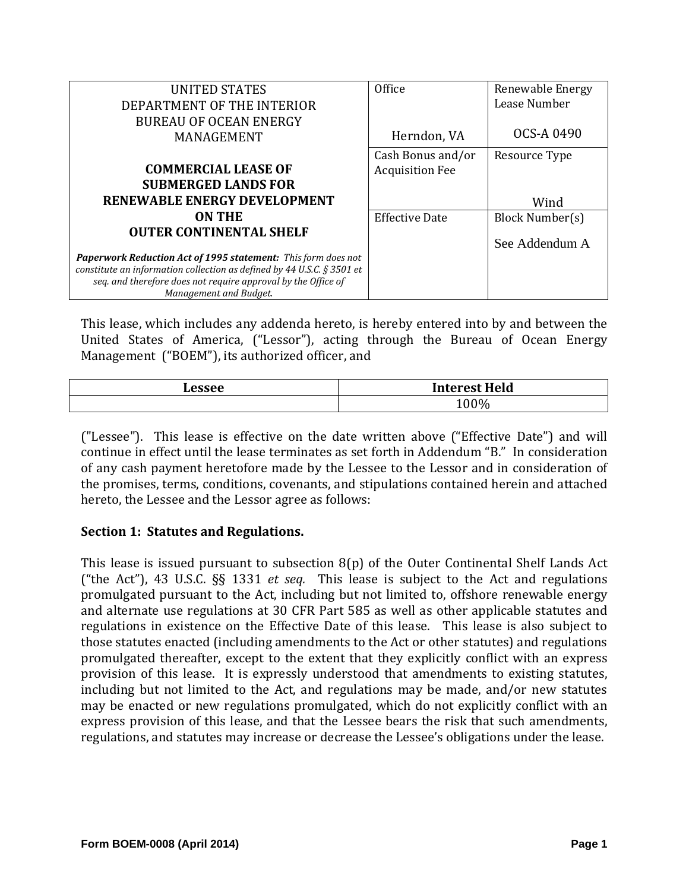| <b>UNITED STATES</b>                                                                    | Office                 | Renewable Energy |
|-----------------------------------------------------------------------------------------|------------------------|------------------|
| DEPARTMENT OF THE INTERIOR                                                              |                        | Lease Number     |
| <b>BUREAU OF OCEAN ENERGY</b>                                                           |                        |                  |
| MANAGEMENT                                                                              | Herndon, VA            | OCS-A 0490       |
|                                                                                         | Cash Bonus and/or      | Resource Type    |
| <b>COMMERCIAL LEASE OF</b>                                                              | <b>Acquisition Fee</b> |                  |
| <b>SUBMERGED LANDS FOR</b>                                                              |                        |                  |
| RENEWABLE ENERGY DEVELOPMENT                                                            |                        | Wind             |
| <b>ON THE</b>                                                                           | <b>Effective Date</b>  | Block Number(s)  |
| <b>OUTER CONTINENTAL SHELF</b>                                                          |                        | See Addendum A   |
| <b>Paperwork Reduction Act of 1995 statement:</b> This form does not                    |                        |                  |
| constitute an information collection as defined by 44 U.S.C. § 3501 et                  |                        |                  |
| seq. and therefore does not require approval by the Office of<br>Management and Budget. |                        |                  |

This lease, which includes any addenda hereto, is hereby entered into by and between the United States of America, ("Lessor"), acting through the Bureau of Ocean Energy Management ("BOEM"), its authorized officer, and

| e.c | Held<br><b>Interest</b><br>. |
|-----|------------------------------|
|     | $0\%$<br>⊥∪                  |

("Lessee"). This lease is effective on the date written above ("Effective Date") and will continue in effect until the lease terminates as set forth in Addendum "B." In consideration of any cash payment heretofore made by the Lessee to the Lessor and in consideration of the promises, terms, conditions, covenants, and stipulations contained herein and attached hereto, the Lessee and the Lessor agree as follows:

## **Section 1: Statutes and Regulations.**

This lease is issued pursuant to subsection  $8(p)$  of the Outer Continental Shelf Lands Act ("the Act"), 43 U.S.C. §§ 1331 *et seq.* This lease is subject to the Act and regulations promulgated pursuant to the Act, including but not limited to, offshore renewable energy and alternate use regulations at 30 CFR Part 585 as well as other applicable statutes and regulations in existence on the Effective Date of this lease. This lease is also subject to those statutes enacted (including amendments to the Act or other statutes) and regulations promulgated thereafter, except to the extent that they explicitly conflict with an express provision of this lease. It is expressly understood that amendments to existing statutes, including but not limited to the Act, and regulations may be made, and/or new statutes may be enacted or new regulations promulgated, which do not explicitly conflict with an express provision of this lease, and that the Lessee bears the risk that such amendments, regulations, and statutes may increase or decrease the Lessee's obligations under the lease.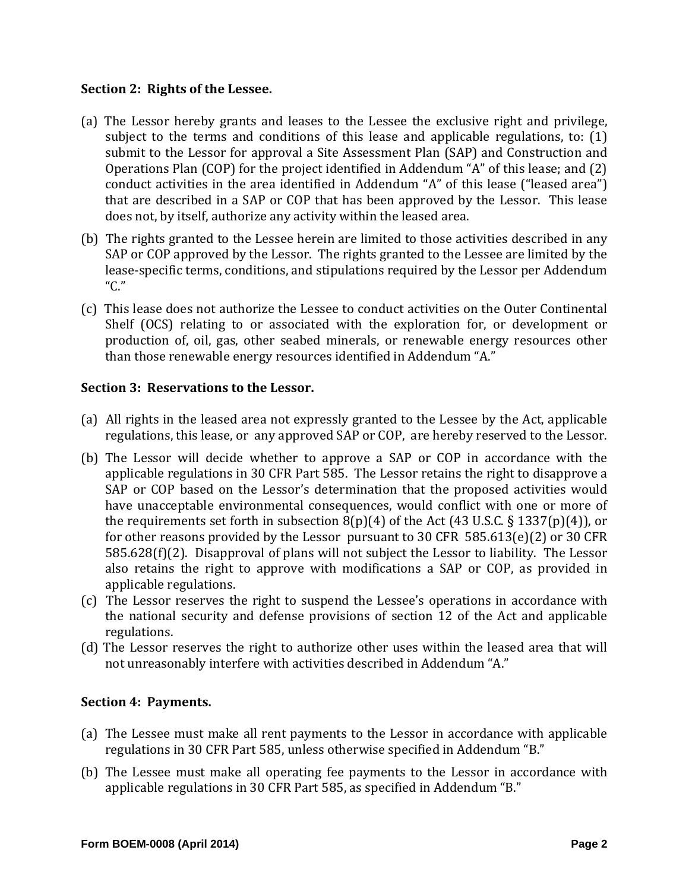#### **Section 2: Rights of the Lessee.**

- (a) The Lessor hereby grants and leases to the Lessee the exclusive right and privilege, subject to the terms and conditions of this lease and applicable regulations, to:  $(1)$ submit to the Lessor for approval a Site Assessment Plan (SAP) and Construction and Operations Plan  $(COP)$  for the project identified in Addendum "A" of this lease; and  $(2)$ conduct activities in the area identified in Addendum "A" of this lease ("leased area") that are described in a SAP or COP that has been approved by the Lessor. This lease does not, by itself, authorize any activity within the leased area.
- (b) The rights granted to the Lessee herein are limited to those activities described in any SAP or COP approved by the Lessor. The rights granted to the Lessee are limited by the lease-specific terms, conditions, and stipulations required by the Lessor per Addendum "C."
- (c) This lease does not authorize the Lessee to conduct activities on the Outer Continental Shelf (OCS) relating to or associated with the exploration for, or development or production of, oil, gas, other seabed minerals, or renewable energy resources other than those renewable energy resources identified in Addendum "A."

## **Section 3: Reservations to the Lessor.**

- (a) All rights in the leased area not expressly granted to the Lessee by the Act, applicable regulations, this lease, or any approved SAP or COP, are hereby reserved to the Lessor.
- (b) The Lessor will decide whether to approve a SAP or COP in accordance with the applicable regulations in 30 CFR Part 585. The Lessor retains the right to disapprove a SAP or COP based on the Lessor's determination that the proposed activities would have unacceptable environmental consequences, would conflict with one or more of the requirements set forth in subsection  $8(p)(4)$  of the Act (43 U.S.C. § 1337(p)(4)), or for other reasons provided by the Lessor pursuant to 30 CFR  $585.613(e)(2)$  or 30 CFR  $585.628(f)(2)$ . Disapproval of plans will not subject the Lessor to liability. The Lessor also retains the right to approve with modifications a SAP or COP, as provided in applicable regulations.
- (c) The Lessor reserves the right to suspend the Lessee's operations in accordance with the national security and defense provisions of section 12 of the Act and applicable regulations.
- (d) The Lessor reserves the right to authorize other uses within the leased area that will not unreasonably interfere with activities described in Addendum "A."

## **Section 4: Payments.**

- (a) The Lessee must make all rent payments to the Lessor in accordance with applicable regulations in 30 CFR Part 585, unless otherwise specified in Addendum "B."
- (b) The Lessee must make all operating fee payments to the Lessor in accordance with applicable regulations in 30 CFR Part 585, as specified in Addendum "B."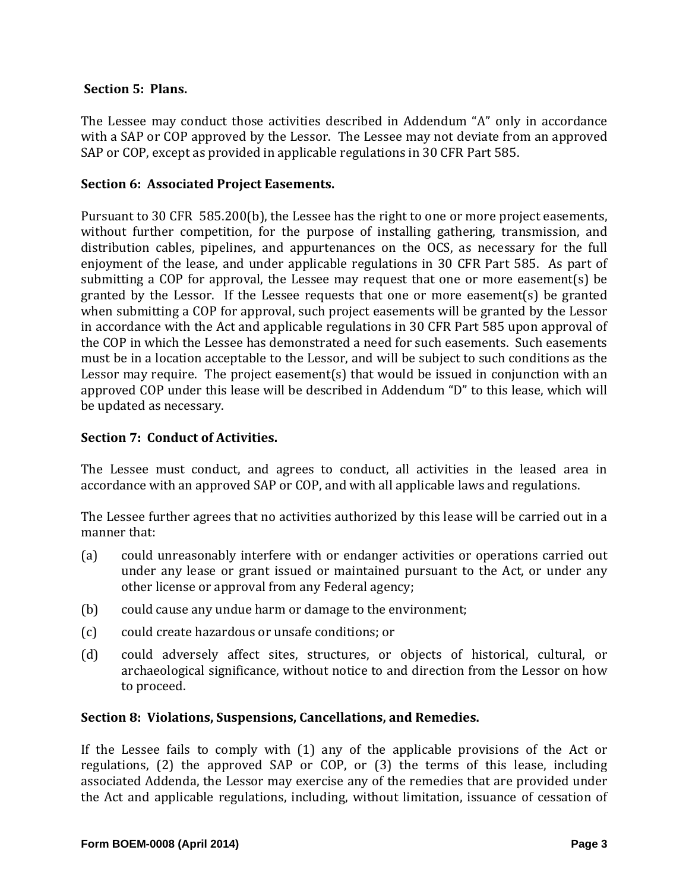## **Section 5: Plans.**

The Lessee may conduct those activities described in Addendum "A" only in accordance with a SAP or COP approved by the Lessor. The Lessee may not deviate from an approved SAP or COP, except as provided in applicable regulations in 30 CFR Part 585.

#### **Section 6: Associated Project Easements.**

Pursuant to 30 CFR 585.200(b), the Lessee has the right to one or more project easements, without further competition, for the purpose of installing gathering, transmission, and distribution cables, pipelines, and appurtenances on the OCS, as necessary for the full enjoyment of the lease, and under applicable regulations in 30 CFR Part 585. As part of submitting a COP for approval, the Lessee may request that one or more easement(s) be granted by the Lessor. If the Lessee requests that one or more easement(s) be granted when submitting a COP for approval, such project easements will be granted by the Lessor in accordance with the Act and applicable regulations in 30 CFR Part 585 upon approval of the COP in which the Lessee has demonstrated a need for such easements. Such easements must be in a location acceptable to the Lessor, and will be subject to such conditions as the Lessor may require. The project easement(s) that would be issued in conjunction with an approved COP under this lease will be described in Addendum "D" to this lease, which will be updated as necessary.

#### **Section 7: Conduct of Activities.**

The Lessee must conduct, and agrees to conduct, all activities in the leased area in accordance with an approved SAP or COP, and with all applicable laws and regulations.

The Lessee further agrees that no activities authorized by this lease will be carried out in a manner that:

- (a) could unreasonably interfere with or endanger activities or operations carried out under any lease or grant issued or maintained pursuant to the Act, or under any other license or approval from any Federal agency;
- (b) could cause any undue harm or damage to the environment;
- (c) could create hazardous or unsafe conditions; or
- (d) could adversely affect sites, structures, or objects of historical, cultural, or archaeological significance, without notice to and direction from the Lessor on how to proceed.

#### **Section 8: Violations, Suspensions, Cancellations, and Remedies.**

If the Lessee fails to comply with  $(1)$  any of the applicable provisions of the Act or regulations,  $(2)$  the approved SAP or COP, or  $(3)$  the terms of this lease, including associated Addenda, the Lessor may exercise any of the remedies that are provided under the Act and applicable regulations, including, without limitation, issuance of cessation of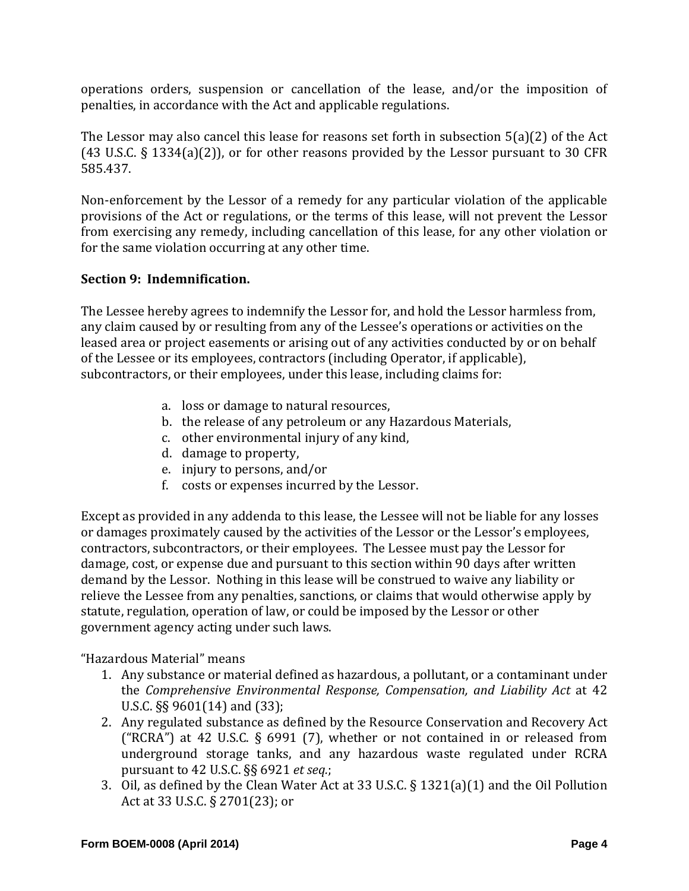operations orders, suspension or cancellation of the lease, and/or the imposition of penalties, in accordance with the Act and applicable regulations.

The Lessor may also cancel this lease for reasons set forth in subsection  $5(a)(2)$  of the Act (43 U.S.C. § 1334(a)(2)), or for other reasons provided by the Lessor pursuant to 30 CFR 585.437. 

Non-enforcement by the Lessor of a remedy for any particular violation of the applicable provisions of the Act or regulations, or the terms of this lease, will not prevent the Lessor from exercising any remedy, including cancellation of this lease, for any other violation or for the same violation occurring at any other time.

# **Section 9: Indemnification.**

The Lessee hereby agrees to indemnify the Lessor for, and hold the Lessor harmless from, any claim caused by or resulting from any of the Lessee's operations or activities on the leased area or project easements or arising out of any activities conducted by or on behalf of the Lessee or its employees, contractors (including Operator, if applicable), subcontractors, or their employees, under this lease, including claims for:

- a. loss or damage to natural resources,
- b. the release of any petroleum or any Hazardous Materials,
- c. other environmental injury of any kind,
- d. damage to property,
- e. injury to persons, and/or
- f. costs or expenses incurred by the Lessor.

Except as provided in any addenda to this lease, the Lessee will not be liable for any losses or damages proximately caused by the activities of the Lessor or the Lessor's employees, contractors, subcontractors, or their employees. The Lessee must pay the Lessor for damage, cost, or expense due and pursuant to this section within 90 days after written demand by the Lessor. Nothing in this lease will be construed to waive any liability or relieve the Lessee from any penalties, sanctions, or claims that would otherwise apply by statute, regulation, operation of law, or could be imposed by the Lessor or other government agency acting under such laws.

"Hazardous Material" means 

- 1. Any substance or material defined as hazardous, a pollutant, or a contaminant under the *Comprehensive Environmental Response, Compensation, and Liability Act* at 42 U.S.C.  $\S$ § 9601(14) and (33);
- 2. Any regulated substance as defined by the Resource Conservation and Recovery Act ("RCRA") at 42 U.S.C. § 6991 (7), whether or not contained in or released from underground storage tanks, and any hazardous waste regulated under RCRA pursuant to 42 U.S.C. §§ 6921 *et seq.*;
- 3. Oil, as defined by the Clean Water Act at 33 U.S.C.  $\S$  1321(a)(1) and the Oil Pollution Act at 33 U.S.C. § 2701(23); or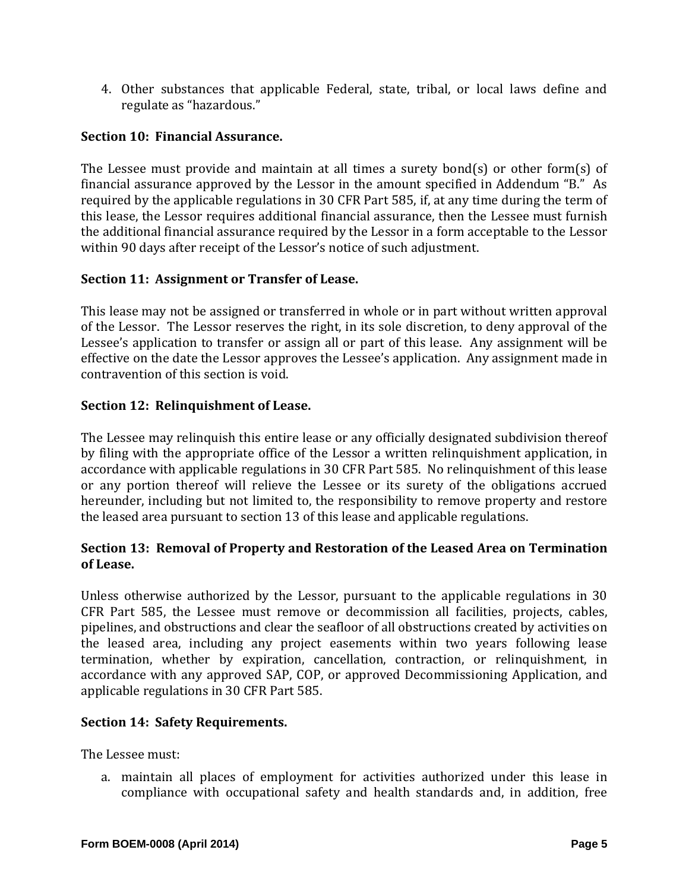4. Other substances that applicable Federal, state, tribal, or local laws define and regulate as "hazardous."

# **Section 10: Financial Assurance.**

The Lessee must provide and maintain at all times a surety bond(s) or other form(s) of financial assurance approved by the Lessor in the amount specified in Addendum "B." As required by the applicable regulations in 30 CFR Part 585, if, at any time during the term of this lease, the Lessor requires additional financial assurance, then the Lessee must furnish the additional financial assurance required by the Lessor in a form acceptable to the Lessor within 90 days after receipt of the Lessor's notice of such adjustment.

# **Section 11: Assignment or Transfer of Lease.**

This lease may not be assigned or transferred in whole or in part without written approval of the Lessor. The Lessor reserves the right, in its sole discretion, to deny approval of the Lessee's application to transfer or assign all or part of this lease. Any assignment will be effective on the date the Lessor approves the Lessee's application. Any assignment made in contravention of this section is void.

# **Section 12: Relinquishment of Lease.**

The Lessee may relinquish this entire lease or any officially designated subdivision thereof by filing with the appropriate office of the Lessor a written relinquishment application, in accordance with applicable regulations in 30 CFR Part 585. No relinquishment of this lease or any portion thereof will relieve the Lessee or its surety of the obligations accrued hereunder, including but not limited to, the responsibility to remove property and restore the leased area pursuant to section 13 of this lease and applicable regulations.

# **Section 13: Removal of Property and Restoration of the Leased Area on Termination of Lease.**

Unless otherwise authorized by the Lessor, pursuant to the applicable regulations in  $30$ CFR Part 585, the Lessee must remove or decommission all facilities, projects, cables, pipelines, and obstructions and clear the seafloor of all obstructions created by activities on the leased area, including any project easements within two years following lease termination, whether by expiration, cancellation, contraction, or relinquishment, in accordance with any approved SAP, COP, or approved Decommissioning Application, and applicable regulations in 30 CFR Part 585.

## **Section 14: Safety Requirements.**

The Lessee must:

a. maintain all places of employment for activities authorized under this lease in compliance with occupational safety and health standards and, in addition, free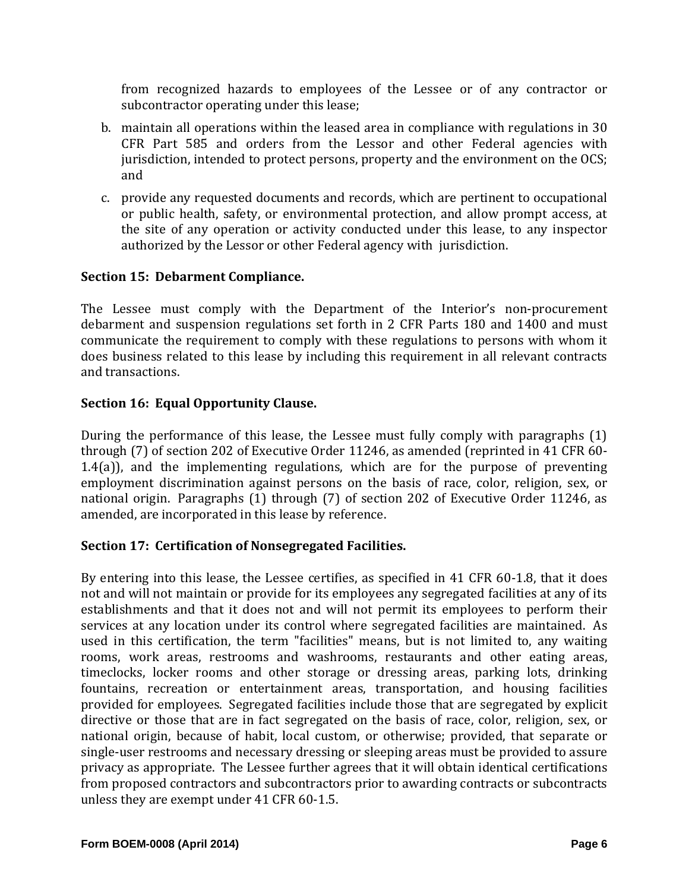from recognized hazards to employees of the Lessee or of any contractor or subcontractor operating under this lease;

- b. maintain all operations within the leased area in compliance with regulations in 30 CFR Part 585 and orders from the Lessor and other Federal agencies with jurisdiction, intended to protect persons, property and the environment on the OCS; and
- c. provide any requested documents and records, which are pertinent to occupational or public health, safety, or environmental protection, and allow prompt access, at the site of any operation or activity conducted under this lease, to any inspector authorized by the Lessor or other Federal agency with jurisdiction.

## **Section 15: Debarment Compliance.**

The Lessee must comply with the Department of the Interior's non-procurement debarment and suspension regulations set forth in 2 CFR Parts 180 and 1400 and must communicate the requirement to comply with these regulations to persons with whom it does business related to this lease by including this requirement in all relevant contracts and transactions.

## **Section 16: Equal Opportunity Clause.**

During the performance of this lease, the Lessee must fully comply with paragraphs  $(1)$ through  $(7)$  of section 202 of Executive Order 11246, as amended (reprinted in 41 CFR 60-1.4(a)), and the implementing regulations, which are for the purpose of preventing employment discrimination against persons on the basis of race, color, religion, sex, or national origin. Paragraphs (1) through (7) of section 202 of Executive Order 11246, as amended, are incorporated in this lease by reference.

## **Section 17: Certification of Nonsegregated Facilities.**

By entering into this lease, the Lessee certifies, as specified in 41 CFR 60-1.8, that it does not and will not maintain or provide for its employees any segregated facilities at any of its establishments and that it does not and will not permit its employees to perform their services at any location under its control where segregated facilities are maintained. As used in this certification, the term "facilities" means, but is not limited to, any waiting rooms, work areas, restrooms and washrooms, restaurants and other eating areas, timeclocks, locker rooms and other storage or dressing areas, parking lots, drinking fountains, recreation or entertainment areas, transportation, and housing facilities provided for employees. Segregated facilities include those that are segregated by explicit directive or those that are in fact segregated on the basis of race, color, religion, sex, or national origin, because of habit, local custom, or otherwise; provided, that separate or single-user restrooms and necessary dressing or sleeping areas must be provided to assure privacy as appropriate. The Lessee further agrees that it will obtain identical certifications from proposed contractors and subcontractors prior to awarding contracts or subcontracts unless they are exempt under 41 CFR 60-1.5.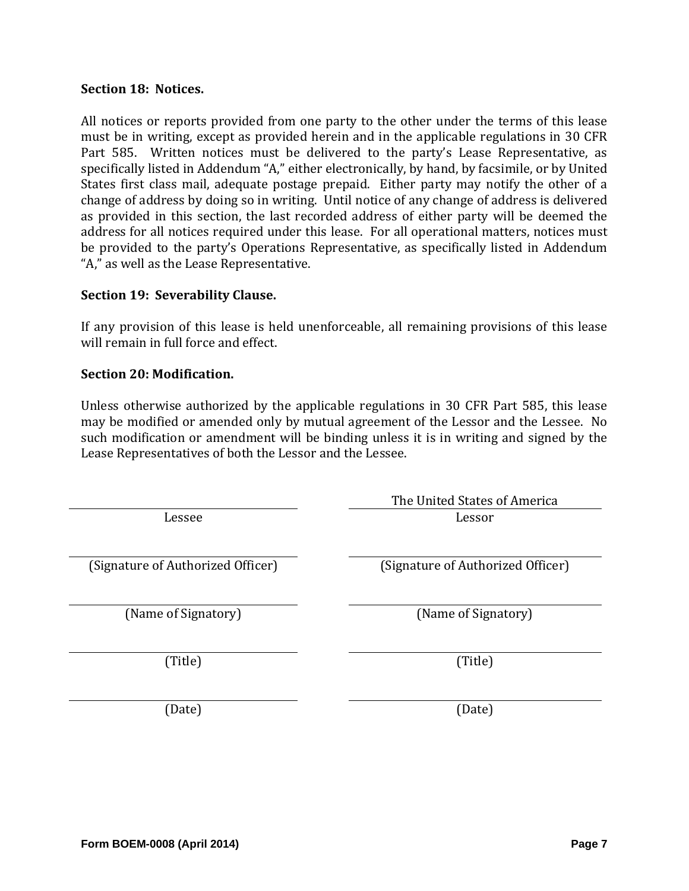#### **Section 18: Notices.**

All notices or reports provided from one party to the other under the terms of this lease must be in writing, except as provided herein and in the applicable regulations in 30 CFR Part 585. Written notices must be delivered to the party's Lease Representative, as specifically listed in Addendum "A," either electronically, by hand, by facsimile, or by United States first class mail, adequate postage prepaid. Either party may notify the other of a change of address by doing so in writing. Until notice of any change of address is delivered as provided in this section, the last recorded address of either party will be deemed the address for all notices required under this lease. For all operational matters, notices must be provided to the party's Operations Representative, as specifically listed in Addendum "A," as well as the Lease Representative.

#### **Section 19: Severability Clause.**

If any provision of this lease is held unenforceable, all remaining provisions of this lease will remain in full force and effect.

#### **Section 20: Modification.**

Unless otherwise authorized by the applicable regulations in 30 CFR Part 585, this lease may be modified or amended only by mutual agreement of the Lessor and the Lessee. No such modification or amendment will be binding unless it is in writing and signed by the Lease Representatives of both the Lessor and the Lessee.

|                                   | The United States of America      |
|-----------------------------------|-----------------------------------|
| Lessee                            | Lessor                            |
|                                   |                                   |
| (Signature of Authorized Officer) | (Signature of Authorized Officer) |
|                                   |                                   |
| (Name of Signatory)               | (Name of Signatory)               |
|                                   |                                   |
| (Title)                           | (Title)                           |
|                                   |                                   |
| (Date)                            | (Date)                            |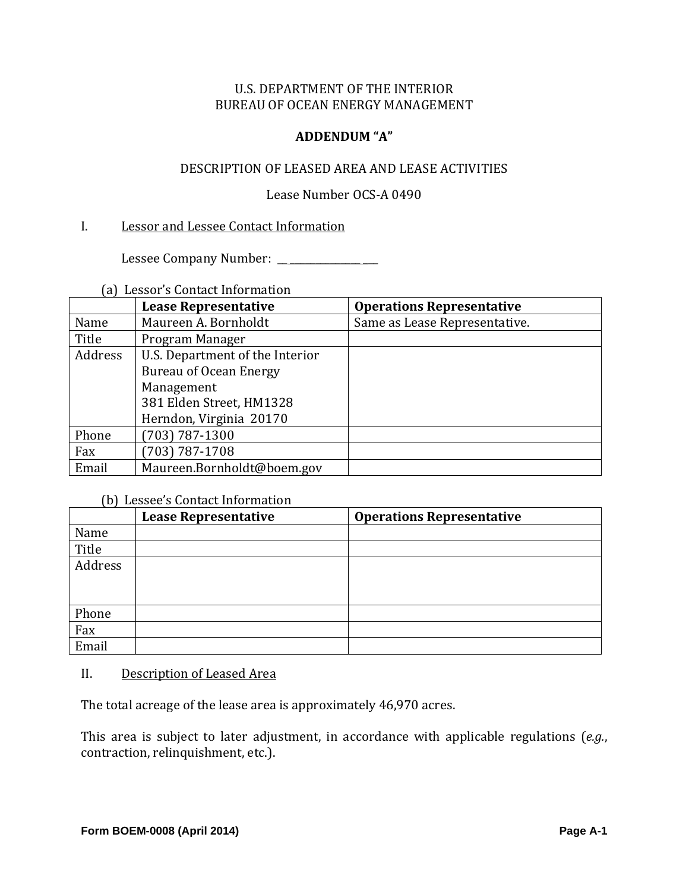#### **ADDENDUM "A"**

#### DESCRIPTION OF LEASED AREA AND LEASE ACTIVITIES

#### Lease Number OCS-A 0490

#### I. Lessor and Lessee Contact Information

 Lessee Company Number: \_\_ \_\_\_\_\_\_\_\_\_\_\_\_\_\_ \_\_\_ 

# (a) Lessor's Contact Information

|         | <b>Lease Representative</b>     | <b>Operations Representative</b> |
|---------|---------------------------------|----------------------------------|
| Name    | Maureen A. Bornholdt            | Same as Lease Representative.    |
| Title   | Program Manager                 |                                  |
| Address | U.S. Department of the Interior |                                  |
|         | Bureau of Ocean Energy          |                                  |
|         | Management                      |                                  |
|         | 381 Elden Street, HM1328        |                                  |
|         | Herndon, Virginia 20170         |                                  |
| Phone   | $(703) 787 - 1300$              |                                  |
| Fax     | $(703) 787 - 1708$              |                                  |
| Email   | Maureen.Bornholdt@boem.gov      |                                  |

#### (b) Lessee's Contact Information

|         | <b>Lease Representative</b> | <b>Operations Representative</b> |
|---------|-----------------------------|----------------------------------|
| Name    |                             |                                  |
| Title   |                             |                                  |
| Address |                             |                                  |
|         |                             |                                  |
|         |                             |                                  |
| Phone   |                             |                                  |
| Fax     |                             |                                  |
| Email   |                             |                                  |

#### II. Description of Leased Area

The total acreage of the lease area is approximately 46,970 acres.

This area is subject to later adjustment, in accordance with applicable regulations (*e.g.*, contraction, relinquishment, etc.).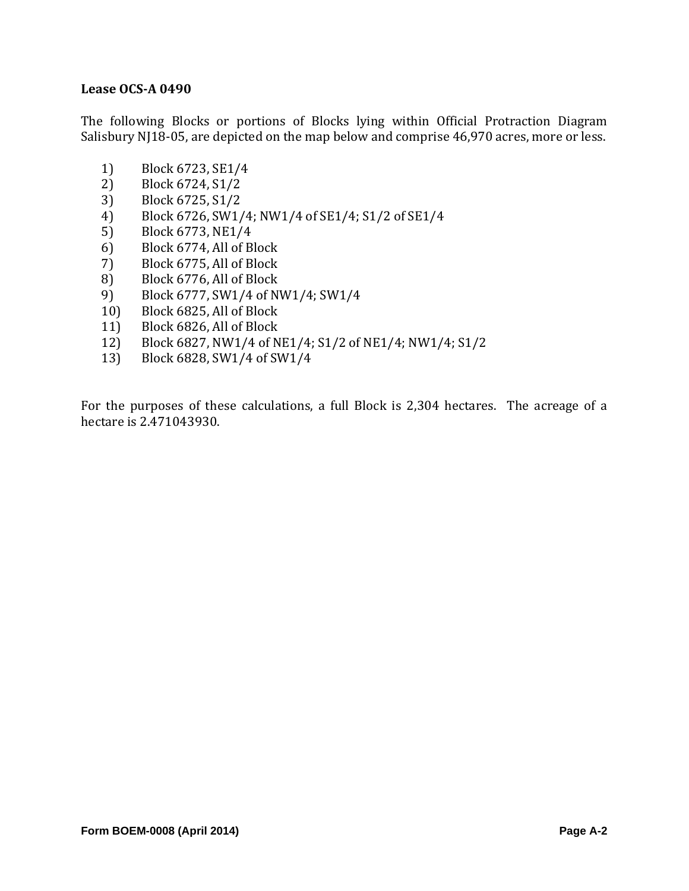#### **Lease OCS‐A 0490**

The following Blocks or portions of Blocks lying within Official Protraction Diagram Salisbury NJ18-05, are depicted on the map below and comprise 46,970 acres, more or less.

- 1) Block 6723, SE1/4
- 2) Block 6724, S1/2
- 3) Block 6725, S1/2
- 4) Block 6726, SW1/4; NW1/4 of SE1/4; S1/2 of SE1/4
- 5) Block 6773, NE1/4
- 6) Block 6774, All of Block
- 7) Block 6775, All of Block
- 8) Block 6776, All of Block
- 9) Block 6777, SW1/4 of NW1/4; SW1/4
- 10) Block 6825, All of Block
- 11) Block 6826, All of Block
- 12) Block 6827, NW1/4 of NE1/4; S1/2 of NE1/4; NW1/4; S1/2
- 13) Block 6828, SW1/4 of SW1/4

For the purposes of these calculations, a full Block is  $2,304$  hectares. The acreage of a hectare is 2.471043930.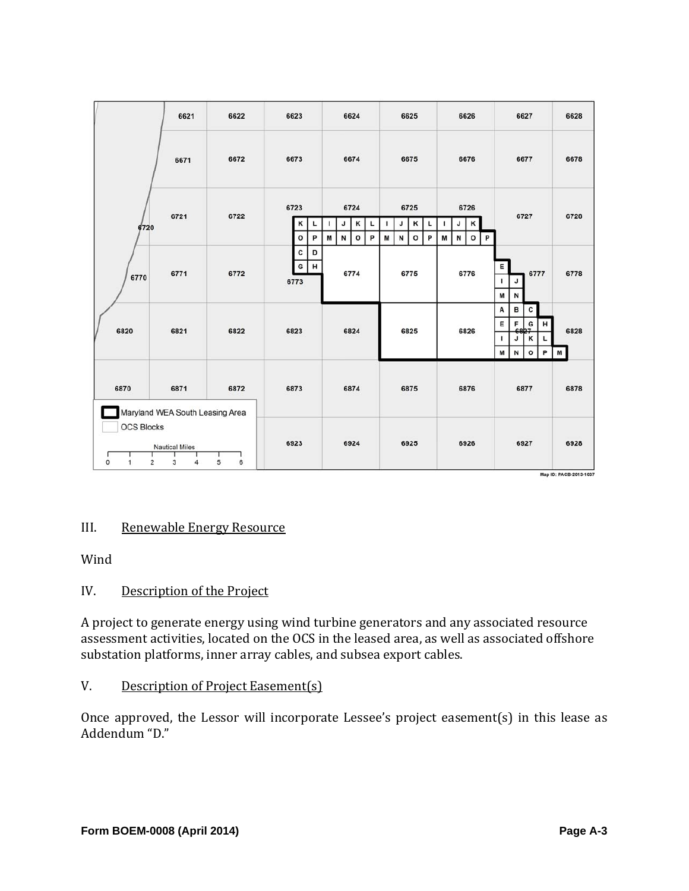|                                                              | 6621                                    | 6622   | 6623                                | 6624                                               | 6625                                               | 6626                                               | 6627                                                                          | 6628      |
|--------------------------------------------------------------|-----------------------------------------|--------|-------------------------------------|----------------------------------------------------|----------------------------------------------------|----------------------------------------------------|-------------------------------------------------------------------------------|-----------|
|                                                              | 6671                                    | 6672   | 6673                                | 6674                                               | 6675                                               | 6676                                               | 6677                                                                          | 6678      |
| 6720                                                         | 6721                                    | 6722   | 6723<br>κ<br>L<br>$\mathsf{o}$<br>P | 6724<br>к<br>J<br>ı<br>L<br>N<br>M<br>$\circ$<br>P | 6725<br>κ<br>J<br>L<br>P<br>M<br>N<br>$\mathbf{o}$ | 6726<br>κ<br>J<br>J<br>M<br>N<br>$\mathbf{o}$<br>P | 6727                                                                          | 6728      |
| 6770                                                         | 6771                                    | 6772   | c<br>D<br>G<br>н<br>6773            | 6774                                               | 6775                                               | 6776                                               | Е<br>6777<br>J<br>Г<br>M<br>N                                                 | 6778      |
| 6820                                                         | 6821                                    | 6822   | 6823                                | 6824                                               | 6825                                               | 6826                                               | в<br>Α<br>c<br>E<br>F<br>G<br>н<br>к<br>J<br>L<br>ı<br>P<br>$\circ$<br>М<br>N | 6828<br>М |
| 6870                                                         | 6871<br>Maryland WEA South Leasing Area | 6872   | 6873                                | 6874                                               | 6875                                               | 6876                                               | 6877                                                                          | 6878      |
| <b>OCS Blocks</b><br>$\overline{\mathbf{c}}$<br>$\circ$<br>1 | <b>Nautical Miles</b><br>3<br>4         | 5<br>6 | 6923                                | 6924                                               | 6925                                               | 6926                                               | 6927                                                                          | 6928      |

# III. Renewable Energy Resource

Wind 

#### IV. Description of the Project

A project to generate energy using wind turbine generators and any associated resource assessment activities, located on the OCS in the leased area, as well as associated offshore substation platforms, inner array cables, and subsea export cables.

#### V. Description of Project Easement(s)

Once approved, the Lessor will incorporate Lessee's project easement(s) in this lease as Addendum "D."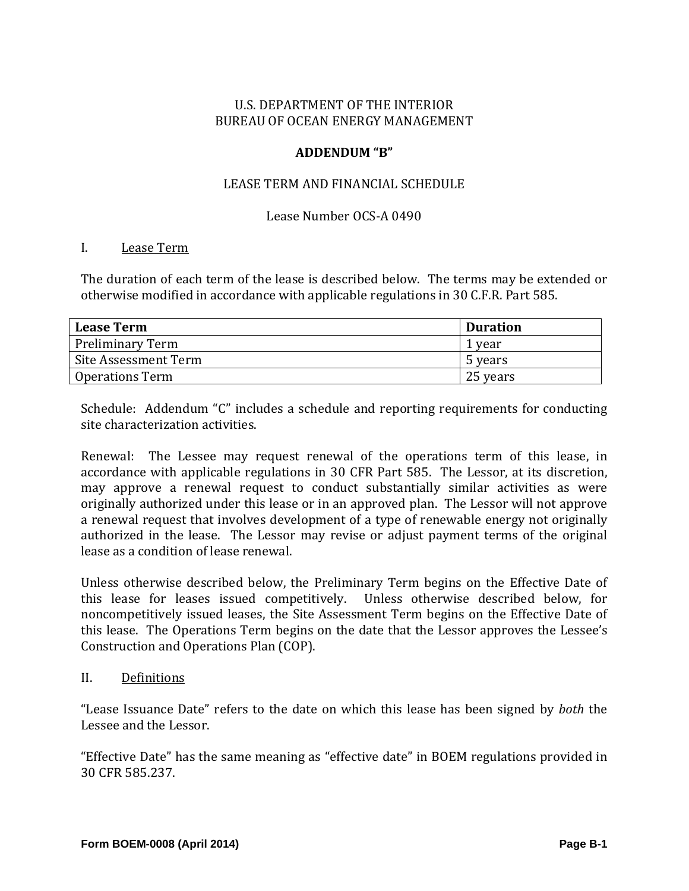#### **ADDENDUM "B"**

#### LEASE TERM AND FINANCIAL SCHEDULE

#### Lease Number OCS-A 0490

#### I. Lease Term

The duration of each term of the lease is described below. The terms may be extended or otherwise modified in accordance with applicable regulations in 30 C.F.R. Part 585.

| <b>Lease Term</b>      | <b>Duration</b> |
|------------------------|-----------------|
| Preliminary Term       | 1 year          |
| Site Assessment Term   | 5 years         |
| <b>Operations Term</b> | 25 years        |

Schedule: Addendum "C" includes a schedule and reporting requirements for conducting site characterization activities.

Renewal: The Lessee may request renewal of the operations term of this lease, in accordance with applicable regulations in 30 CFR Part 585. The Lessor, at its discretion, may approve a renewal request to conduct substantially similar activities as were originally authorized under this lease or in an approved plan. The Lessor will not approve a renewal request that involves development of a type of renewable energy not originally authorized in the lease. The Lessor may revise or adjust payment terms of the original lease as a condition of lease renewal.

Unless otherwise described below, the Preliminary Term begins on the Effective Date of this lease for leases issued competitively. Unless otherwise described below, for noncompetitively issued leases, the Site Assessment Term begins on the Effective Date of this lease. The Operations Term begins on the date that the Lessor approves the Lessee's Construction and Operations Plan (COP).

II. Definitions 

"Lease Issuance Date" refers to the date on which this lease has been signed by *both* the Lessee and the Lessor.

"Effective Date" has the same meaning as "effective date" in BOEM regulations provided in 30 CFR 585.237.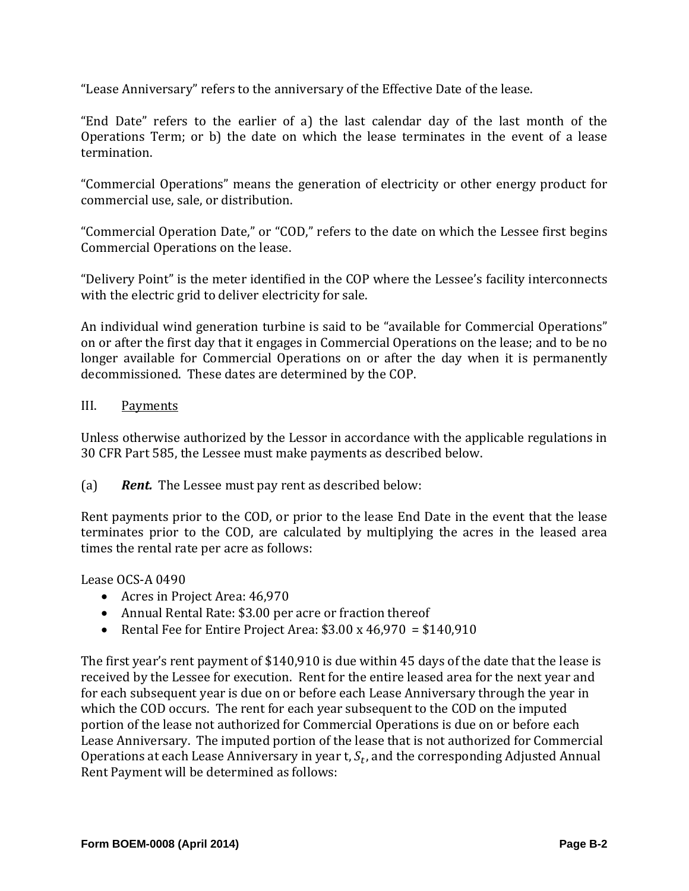"Lease Anniversary" refers to the anniversary of the Effective Date of the lease.

"End Date" refers to the earlier of a) the last calendar day of the last month of the Operations Term; or b) the date on which the lease terminates in the event of a lease termination. 

"Commercial Operations" means the generation of electricity or other energy product for commercial use, sale, or distribution.

"Commercial Operation Date," or "COD," refers to the date on which the Lessee first begins Commercial Operations on the lease.

"Delivery Point" is the meter identified in the COP where the Lessee's facility interconnects with the electric grid to deliver electricity for sale.

An individual wind generation turbine is said to be "available for Commercial Operations" on or after the first day that it engages in Commercial Operations on the lease; and to be no longer available for Commercial Operations on or after the day when it is permanently decommissioned. These dates are determined by the COP.

#### III. Payments

Unless otherwise authorized by the Lessor in accordance with the applicable regulations in 30 CFR Part 585, the Lessee must make payments as described below.

(a) **Rent.** The Lessee must pay rent as described below:

Rent payments prior to the COD, or prior to the lease End Date in the event that the lease terminates prior to the COD, are calculated by multiplying the acres in the leased area times the rental rate per acre as follows:

Lease OCS-A 0490

- Acres in Project Area: 46,970
- Annual Rental Rate: \$3.00 per acre or fraction thereof
- Rental Fee for Entire Project Area:  $$3.00 \times 46,970 = $140,910$

The first year's rent payment of \$140,910 is due within 45 days of the date that the lease is received by the Lessee for execution. Rent for the entire leased area for the next year and for each subsequent year is due on or before each Lease Anniversary through the year in which the COD occurs. The rent for each year subsequent to the COD on the imputed portion of the lease not authorized for Commercial Operations is due on or before each Lease Anniversary. The imputed portion of the lease that is not authorized for Commercial Operations at each Lease Anniversary in year t,  $S_t$ , and the corresponding Adjusted Annual Rent Payment will be determined as follows: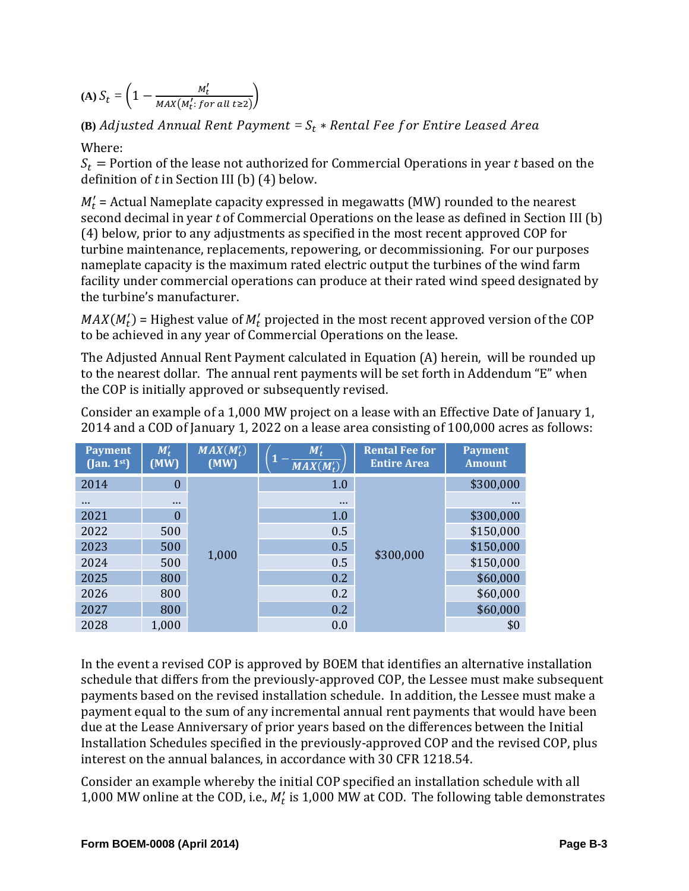**(A)**  $S_t = \left(1 - \frac{M_t^{\prime}}{MAX(M^{\prime} \cdot f)}\right)$  $\frac{m_t}{MAX(M'_t: for all t \geq 2)}\bigg)$ 

# $_{\rm (B)}$  Adjusted Annual Rent Payment =  $S_t$   $*$  Rental Fee for Entire Leased Area

Where: 

 $S_t$  = Portion of the lease not authorized for Commercial Operations in year *t* based on the definition of  $t$  in Section III (b)  $(4)$  below.

 $M'_t$  = Actual Nameplate capacity expressed in megawatts (MW) rounded to the nearest second decimal in year *t* of Commercial Operations on the lease as defined in Section III (b) (4) below, prior to any adjustments as specified in the most recent approved COP for turbine maintenance, replacements, repowering, or decommissioning. For our purposes nameplate capacity is the maximum rated electric output the turbines of the wind farm facility under commercial operations can produce at their rated wind speed designated by the turbine's manufacturer.

 $MAX(M_t')$  = Highest value of  $M_t'$  projected in the most recent approved version of the COP to be achieved in any vear of Commercial Operations on the lease.

The Adjusted Annual Rent Payment calculated in Equation (A) herein, will be rounded up to the nearest dollar. The annual rent payments will be set forth in Addendum "E" when the COP is initially approved or subsequently revised.

| <b>Payment</b><br>$($ Jan. $1st$ ) | $M_t'$<br>(MW)   | $MAX(M'_t)$<br>(MW) | $M_t'$<br>$MAX(M'_t)$ | <b>Rental Fee for</b><br><b>Entire Area</b> | <b>Payment</b><br><b>Amount</b> |
|------------------------------------|------------------|---------------------|-----------------------|---------------------------------------------|---------------------------------|
| 2014                               | $\boldsymbol{0}$ |                     | 1.0                   |                                             | \$300,000                       |
| $\cdots$                           | $\cdots$         |                     | $\cdots$              |                                             | $\cdots$                        |
| 2021                               | $\theta$         |                     | 1.0                   |                                             | \$300,000                       |
| 2022                               | 500              | 1,000               | 0.5                   | \$300,000                                   | \$150,000                       |
| 2023                               | 500              |                     | 0.5                   |                                             | \$150,000                       |
| 2024                               | 500              |                     | 0.5                   |                                             | \$150,000                       |
| 2025                               | 800              |                     | 0.2                   |                                             | \$60,000                        |
| 2026                               | 800              |                     | 0.2                   |                                             | \$60,000                        |
| 2027                               | 800              |                     | 0.2                   |                                             | \$60,000                        |
| 2028                               | 1,000            |                     | 0.0                   |                                             | \$0                             |

Consider an example of a 1,000 MW project on a lease with an Effective Date of January 1, 2014 and a COD of January 1, 2022 on a lease area consisting of 100,000 acres as follows:

In the event a revised COP is approved by BOEM that identifies an alternative installation schedule that differs from the previously-approved COP, the Lessee must make subsequent payments based on the revised installation schedule. In addition, the Lessee must make a payment equal to the sum of any incremental annual rent payments that would have been due at the Lease Anniversary of prior years based on the differences between the Initial Installation Schedules specified in the previously-approved COP and the revised COP, plus interest on the annual balances, in accordance with 30 CFR 1218.54.

Consider an example whereby the initial COP specified an installation schedule with all 1,000 MW online at the COD, i.e.,  $M_t$  is 1,000 MW at COD. The following table demonstrates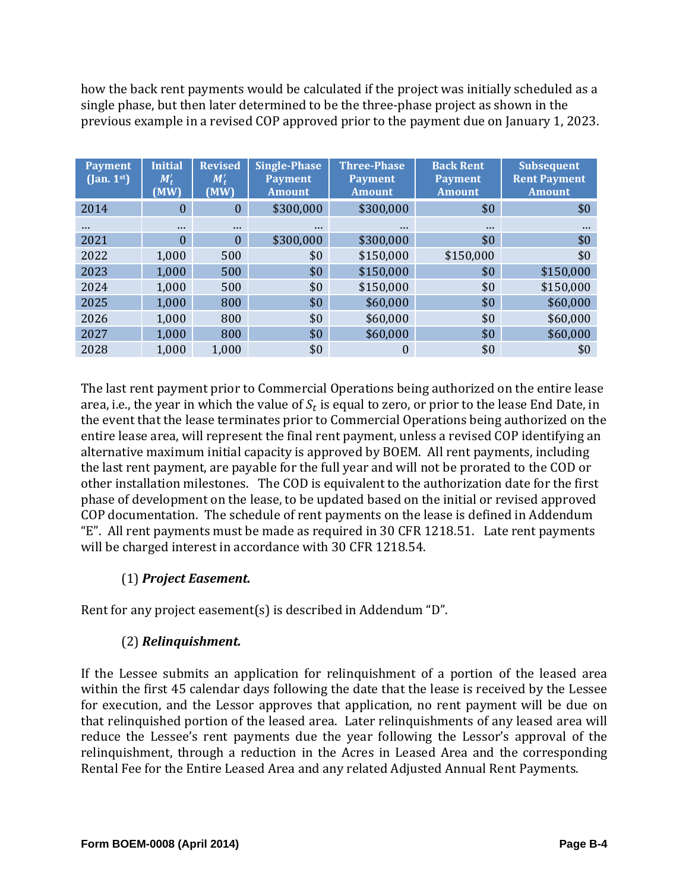how the back rent payments would be calculated if the project was initially scheduled as a single phase, but then later determined to be the three-phase project as shown in the previous example in a revised COP approved prior to the payment due on January 1, 2023.

| <b>Payment</b><br>$(\text{Jan. } 1^{\text{st}})$ | <b>Initial</b><br>$M'_{t}$<br>(MW) | <b>Revised</b><br>$M'_t$<br>(MW) | <b>Single-Phase</b><br><b>Payment</b><br><b>Amount</b> | <b>Three-Phase</b><br><b>Payment</b><br><b>Amount</b> | <b>Back Rent</b><br><b>Payment</b><br><b>Amount</b> | <b>Subsequent</b><br><b>Rent Payment</b><br><b>Amount</b> |
|--------------------------------------------------|------------------------------------|----------------------------------|--------------------------------------------------------|-------------------------------------------------------|-----------------------------------------------------|-----------------------------------------------------------|
| 2014                                             | $\theta$                           | $\theta$                         | \$300,000                                              | \$300,000                                             | \$0                                                 | \$0                                                       |
| $\cdots$                                         | $\cdots$                           | $\cdots$                         | $\cdots$                                               | $\cdots$                                              | $\cdots$                                            | $\cdots$                                                  |
| 2021                                             | $\theta$                           | $\Omega$                         | \$300,000                                              | \$300,000                                             | \$0                                                 | \$0                                                       |
| 2022                                             | 1,000                              | 500                              | \$0                                                    | \$150,000                                             | \$150,000                                           | \$0                                                       |
| 2023                                             | 1,000                              | 500                              | \$0                                                    | \$150,000                                             | \$0                                                 | \$150,000                                                 |
| 2024                                             | 1,000                              | 500                              | \$0                                                    | \$150,000                                             | \$0                                                 | \$150,000                                                 |
| 2025                                             | 1,000                              | 800                              | \$0                                                    | \$60,000                                              | \$0                                                 | \$60,000                                                  |
| 2026                                             | 1,000                              | 800                              | \$0                                                    | \$60,000                                              | \$0                                                 | \$60,000                                                  |
| 2027                                             | 1,000                              | 800                              | \$0                                                    | \$60,000                                              | \$0                                                 | \$60,000                                                  |
| 2028                                             | 1,000                              | 1,000                            | \$0                                                    | 0                                                     | \$0                                                 | \$0                                                       |

The last rent payment prior to Commercial Operations being authorized on the entire lease area, i.e., the year in which the value of  $S_t$  is equal to zero, or prior to the lease End Date, in the event that the lease terminates prior to Commercial Operations being authorized on the entire lease area, will represent the final rent payment, unless a revised COP identifying an alternative maximum initial capacity is approved by BOEM. All rent payments, including the last rent payment, are payable for the full year and will not be prorated to the COD or other installation milestones. The COD is equivalent to the authorization date for the first phase of development on the lease, to be updated based on the initial or revised approved COP documentation. The schedule of rent payments on the lease is defined in Addendum "E". All rent payments must be made as required in 30 CFR 1218.51. Late rent payments will be charged interest in accordance with 30 CFR 1218.54.

# (1) *Project Easement.*

Rent for any project easement(s) is described in Addendum "D".

# (2) *Relinquishment.*

If the Lessee submits an application for relinquishment of a portion of the leased area within the first 45 calendar days following the date that the lease is received by the Lessee for execution, and the Lessor approves that application, no rent payment will be due on that relinquished portion of the leased area. Later relinquishments of any leased area will reduce the Lessee's rent payments due the year following the Lessor's approval of the relinquishment, through a reduction in the Acres in Leased Area and the corresponding Rental Fee for the Entire Leased Area and any related Adjusted Annual Rent Payments.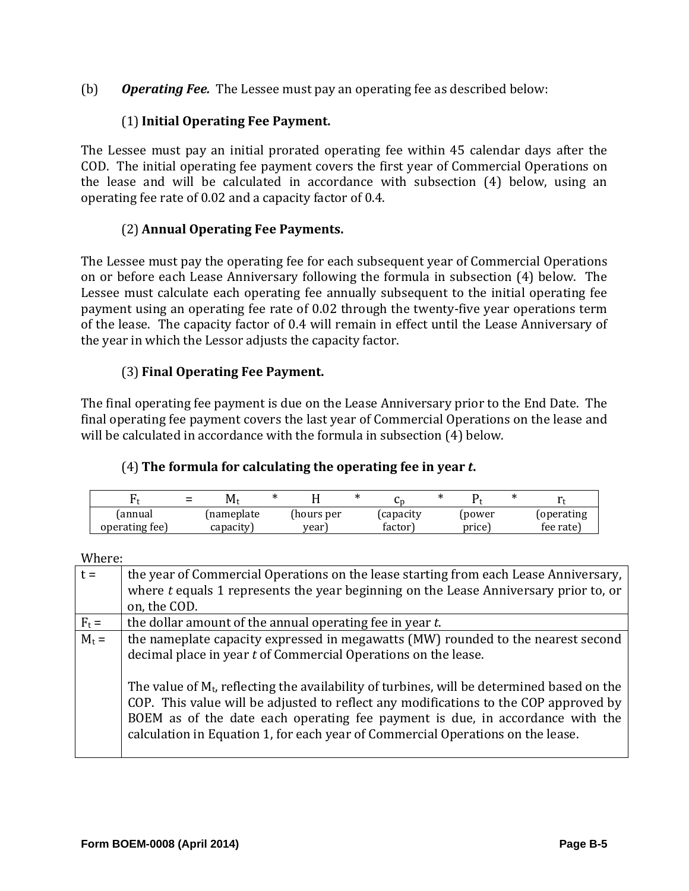(b) *Operating Fee.* The Lessee must pay an operating fee as described below:

# (1)**Initial Operating Fee Payment.**

The Lessee must pay an initial prorated operating fee within 45 calendar days after the COD. The initial operating fee payment covers the first year of Commercial Operations on the lease and will be calculated in accordance with subsection  $(4)$  below, using an operating fee rate of 0.02 and a capacity factor of 0.4.

# (2) **Annual Operating Fee Payments.**

The Lessee must pay the operating fee for each subsequent year of Commercial Operations on or before each Lease Anniversary following the formula in subsection (4) below. The Lessee must calculate each operating fee annually subsequent to the initial operating fee payment using an operating fee rate of 0.02 through the twenty-five year operations term of the lease. The capacity factor of 0.4 will remain in effect until the Lease Anniversary of the year in which the Lessor adjusts the capacity factor.

# (3) **Final Operating Fee Payment.**

The final operating fee payment is due on the Lease Anniversary prior to the End Date. The final operating fee payment covers the last year of Commercial Operations on the lease and will be calculated in accordance with the formula in subsection (4) below.

# (4) **The formula for calculating the operating fee in year** *t***.**

|                | $\equiv$ | Мt        |            |          |        |            |
|----------------|----------|-----------|------------|----------|--------|------------|
| (annual        |          | nameplate | (hours per | capacity | power  | (operating |
| operating fee) |          | capacity. | vear       | factor ` | price] | fee rate)  |

| Where: |  |
|--------|--|
|        |  |

| $t =$   | the year of Commercial Operations on the lease starting from each Lease Anniversary,                                                                                                                                                                                                                                                                      |
|---------|-----------------------------------------------------------------------------------------------------------------------------------------------------------------------------------------------------------------------------------------------------------------------------------------------------------------------------------------------------------|
|         | where t equals 1 represents the year beginning on the Lease Anniversary prior to, or                                                                                                                                                                                                                                                                      |
|         | on, the COD.                                                                                                                                                                                                                                                                                                                                              |
| $F_t =$ | the dollar amount of the annual operating fee in year t.                                                                                                                                                                                                                                                                                                  |
| $M_t =$ | the nameplate capacity expressed in megawatts (MW) rounded to the nearest second                                                                                                                                                                                                                                                                          |
|         | decimal place in year t of Commercial Operations on the lease.                                                                                                                                                                                                                                                                                            |
|         | The value of $M_t$ , reflecting the availability of turbines, will be determined based on the<br>COP. This value will be adjusted to reflect any modifications to the COP approved by<br>BOEM as of the date each operating fee payment is due, in accordance with the<br>calculation in Equation 1, for each year of Commercial Operations on the lease. |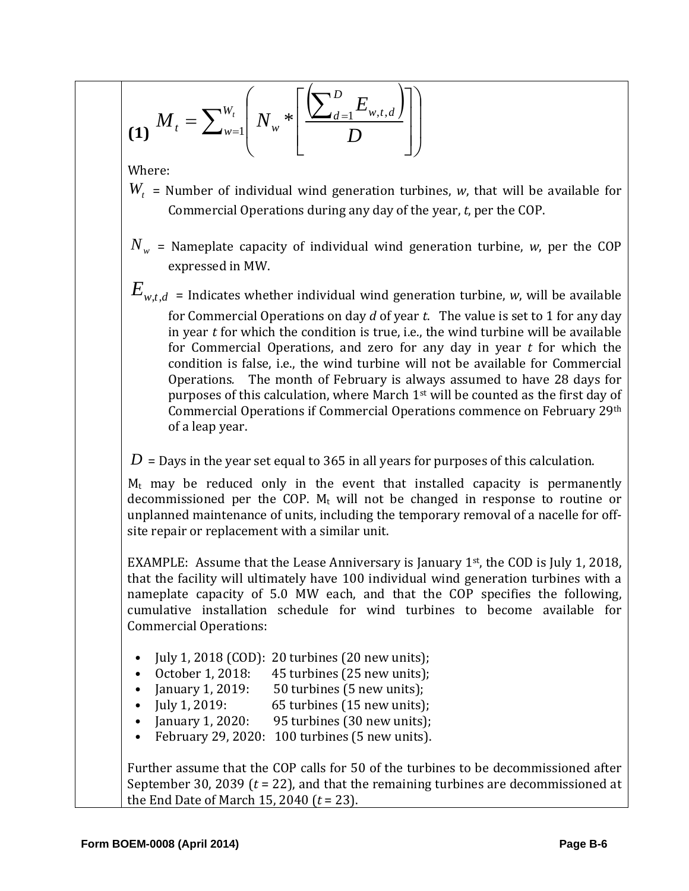$$
(1) \; M_t = \sum_{w=1}^{W_t} \left( N_w * \left[ \frac{\left( \sum_{d=1}^D E_{w,t,d} \right)}{D} \right] \right)
$$

Where: 

- $W_t$  = Number of individual wind generation turbines, *w*, that will be available for Commercial Operations during any day of the year, *t*, per the COP.
- $N_w$  = Nameplate capacity of individual wind generation turbine, *w*, per the COP expressed in MW.
- $E_{\mathrm{w},t,d}$  = Indicates whether individual wind generation turbine,  $w$ , will be available for Commercial Operations on day *d* of year *t*. The value is set to 1 for any day in year  $t$  for which the condition is true, i.e., the wind turbine will be available for Commercial Operations, and zero for any day in year  $t$  for which the condition is false, i.e., the wind turbine will not be available for Commercial Operations. The month of February is always assumed to have 28 days for purposes of this calculation, where March  $1<sup>st</sup>$  will be counted as the first day of Commercial Operations if Commercial Operations commence on February 29th of a leap year.
- $D =$  Days in the year set equal to 365 in all years for purposes of this calculation.

 $M_t$  may be reduced only in the event that installed capacity is permanently decommissioned per the COP.  $M_t$  will not be changed in response to routine or unplanned maintenance of units, including the temporary removal of a nacelle for offsite repair or replacement with a similar unit.

EXAMPLE: Assume that the Lease Anniversary is January  $1<sup>st</sup>$ , the COD is July 1, 2018, that the facility will ultimately have 100 individual wind generation turbines with a nameplate capacity of 5.0 MW each, and that the COP specifies the following, cumulative installation schedule for wind turbines to become available for Commercial Operations: 

- July 1, 2018 (COD): 20 turbines  $(20$  new units);
- October 1, 2018:  $45$  turbines (25 new units);
- January 1, 2019:  $50$  turbines (5 new units);
- July 1, 2019:  $65$  turbines  $(15$  new units);
- January 1, 2020: 95 turbines (30 new units);
- February 29, 2020: 100 turbines (5 new units).

Further assume that the COP calls for 50 of the turbines to be decommissioned after September 30, 2039  $(t = 22)$ , and that the remaining turbines are decommissioned at the End Date of March 15, 2040  $(t = 23)$ .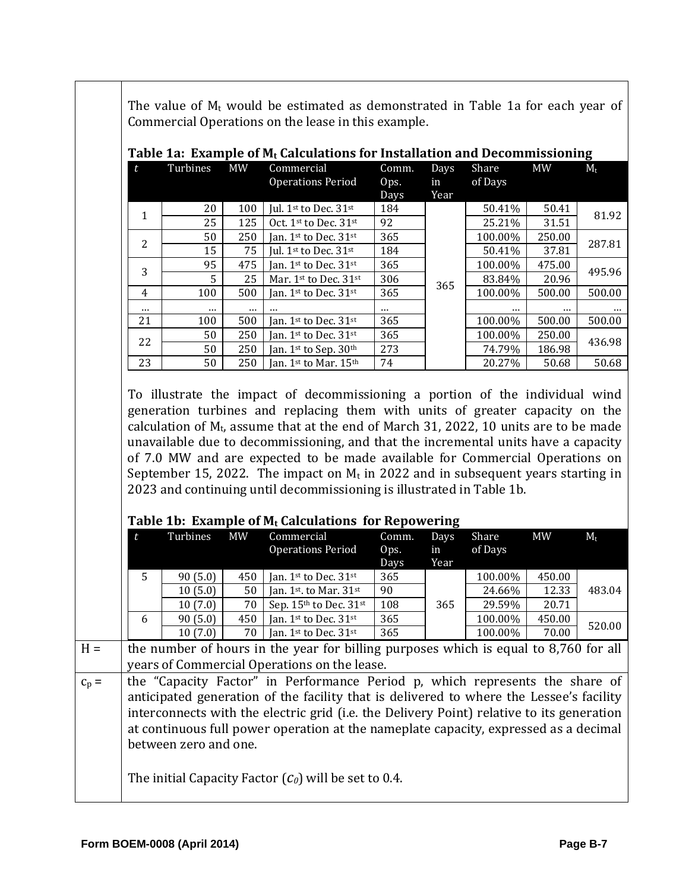| t              | Turbines | <b>MW</b> | Table 1a: Example of $M_t$ Calculations for Installation and Decommissioning<br>Commercial                                                                                                                                                                                                                                                                                                                                                                                                                                                                                                     | Comm.                 | Days               | Share            | <b>MW</b> | $M_t$ |
|----------------|----------|-----------|------------------------------------------------------------------------------------------------------------------------------------------------------------------------------------------------------------------------------------------------------------------------------------------------------------------------------------------------------------------------------------------------------------------------------------------------------------------------------------------------------------------------------------------------------------------------------------------------|-----------------------|--------------------|------------------|-----------|-------|
|                |          |           | <b>Operations Period</b>                                                                                                                                                                                                                                                                                                                                                                                                                                                                                                                                                                       | Ops.<br>Days          | in<br>Year         | of Days          |           |       |
|                | 20       | 100       | Jul. 1st to Dec. 31st                                                                                                                                                                                                                                                                                                                                                                                                                                                                                                                                                                          | 184                   |                    | 50.41%           | 50.41     |       |
| $\mathbf{1}$   | 25       | 125       | Oct. 1st to Dec. 31st                                                                                                                                                                                                                                                                                                                                                                                                                                                                                                                                                                          | 92                    |                    | 25.21%           | 31.51     |       |
| 2              | 50       | 250       | Jan. 1st to Dec. 31st                                                                                                                                                                                                                                                                                                                                                                                                                                                                                                                                                                          | 365                   |                    | 100.00%          | 250.00    |       |
|                | 15       | 75        | Jul. 1st to Dec. 31st                                                                                                                                                                                                                                                                                                                                                                                                                                                                                                                                                                          | 184                   |                    | 50.41%           | 37.81     |       |
| 3              | 95       | 475       | Jan. 1st to Dec. 31st                                                                                                                                                                                                                                                                                                                                                                                                                                                                                                                                                                          | 365                   |                    | 100.00%          | 475.00    |       |
|                | 5        | 25        | Mar. 1st to Dec. 31st                                                                                                                                                                                                                                                                                                                                                                                                                                                                                                                                                                          | 306                   | 365                | 83.84%           | 20.96     |       |
| $\overline{4}$ | 100      | 500       | Jan. 1st to Dec. 31st                                                                                                                                                                                                                                                                                                                                                                                                                                                                                                                                                                          | 365                   |                    | 100.00%          | 500.00    |       |
| $\cdots$       | $\cdots$ | $\ddotsc$ |                                                                                                                                                                                                                                                                                                                                                                                                                                                                                                                                                                                                | $\cdots$              |                    |                  |           |       |
| 21             | 100      | 500       | Jan. 1st to Dec. 31st                                                                                                                                                                                                                                                                                                                                                                                                                                                                                                                                                                          | 365                   |                    | 100.00%          | 500.00    |       |
| 22             | 50       | 250       | Jan. 1st to Dec. 31st                                                                                                                                                                                                                                                                                                                                                                                                                                                                                                                                                                          | 365                   |                    | 100.00%          | 250.00    |       |
|                | 50       | 250       | Jan. 1st to Sep. 30th                                                                                                                                                                                                                                                                                                                                                                                                                                                                                                                                                                          | 273                   |                    | 74.79%           | 186.98    |       |
| 23             | 50       | 250       | Jan. 1st to Mar. 15th                                                                                                                                                                                                                                                                                                                                                                                                                                                                                                                                                                          | 74                    |                    | 20.27%           | 50.68     |       |
|                |          |           | To illustrate the impact of decommissioning a portion of the individual wind<br>generation turbines and replacing them with units of greater capacity on the<br>calculation of $M_t$ , assume that at the end of March 31, 2022, 10 units are to be made<br>unavailable due to decommissioning, and that the incremental units have a capacity<br>of 7.0 MW and are expected to be made available for Commercial Operations on<br>September 15, 2022. The impact on $M_t$ in 2022 and in subsequent years starting in<br>2023 and continuing until decommissioning is illustrated in Table 1b. |                       |                    |                  |           |       |
|                |          |           | Table 1b: Example of $M_t$ Calculations for Repowering                                                                                                                                                                                                                                                                                                                                                                                                                                                                                                                                         |                       |                    |                  |           |       |
|                | Turbines | <b>MW</b> | Commercial<br><b>Operations Period</b>                                                                                                                                                                                                                                                                                                                                                                                                                                                                                                                                                         | Comm.<br>Ops.<br>Days | Days<br>in<br>Year | Share<br>of Days | <b>MW</b> |       |
| 5              | 90(5.0)  | 450       | Jan. 1st to Dec. 31st                                                                                                                                                                                                                                                                                                                                                                                                                                                                                                                                                                          | 365                   |                    | 100.00%          | 450.00    |       |
|                | 10(5.0)  | 50        | Jan. 1st. to Mar. 31st                                                                                                                                                                                                                                                                                                                                                                                                                                                                                                                                                                         | 90                    |                    | 24.66%           | 12.33     |       |
|                | 10(7.0)  | 70        | Sep. $15th$ to Dec. $31st$                                                                                                                                                                                                                                                                                                                                                                                                                                                                                                                                                                     | 108                   | 365                | 29.59%           | 20.71     |       |
| 6              | 90(5.0)  | 450       | Jan. 1st to Dec. 31st                                                                                                                                                                                                                                                                                                                                                                                                                                                                                                                                                                          | 365                   |                    | 100.00%          | 450.00    |       |
|                | 10(7.0)  | 70        | Jan. 1st to Dec. 31st                                                                                                                                                                                                                                                                                                                                                                                                                                                                                                                                                                          | 365                   |                    | 100.00%          | 70.00     |       |
|                |          |           | the number of hours in the year for billing purposes which is equal to 8,760 for all                                                                                                                                                                                                                                                                                                                                                                                                                                                                                                           |                       |                    |                  |           |       |
|                |          |           | years of Commercial Operations on the lease.                                                                                                                                                                                                                                                                                                                                                                                                                                                                                                                                                   |                       |                    |                  |           |       |
|                |          |           |                                                                                                                                                                                                                                                                                                                                                                                                                                                                                                                                                                                                |                       |                    |                  |           |       |
|                |          |           | the "Capacity Factor" in Performance Period p, which represents the share of                                                                                                                                                                                                                                                                                                                                                                                                                                                                                                                   |                       |                    |                  |           |       |
|                |          |           | anticipated generation of the facility that is delivered to where the Lessee's facility<br>interconnects with the electric grid (i.e. the Delivery Point) relative to its generation                                                                                                                                                                                                                                                                                                                                                                                                           |                       |                    |                  |           |       |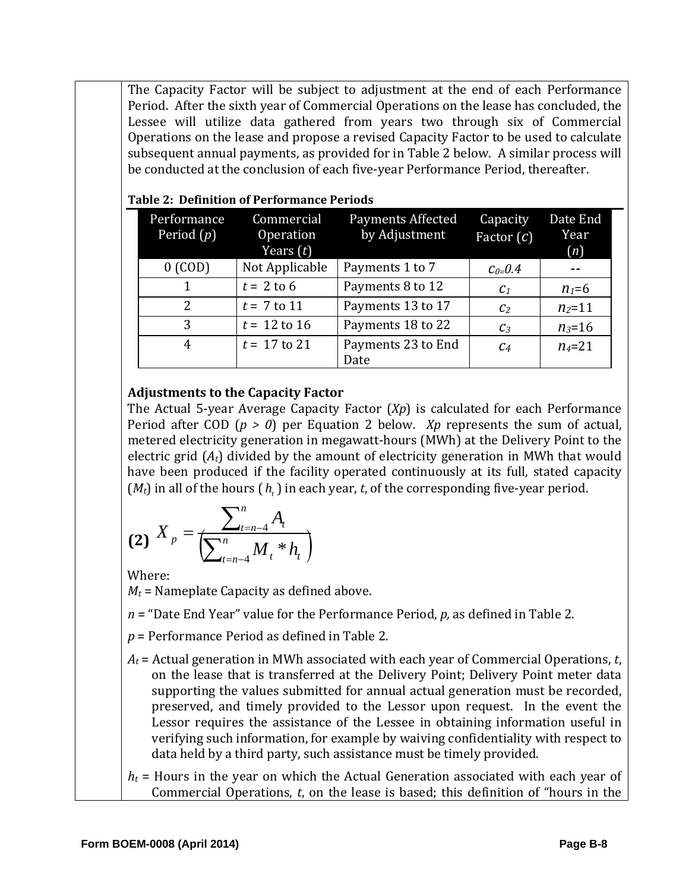The Capacity Factor will be subject to adjustment at the end of each Performance Period. After the sixth year of Commercial Operations on the lease has concluded, the Lessee will utilize data gathered from years two through six of Commercial Operations on the lease and propose a revised Capacity Factor to be used to calculate subsequent annual payments, as provided for in Table 2 below. A similar process will be conducted at the conclusion of each five-year Performance Period, thereafter.

| Performance<br>Period $(p)$ | Commercial<br>Operation<br>Years $(t)$ | <b>Payments Affected</b><br>by Adjustment | Capacity<br>Factor $(c)$ | Date End<br>Year<br>(n) |
|-----------------------------|----------------------------------------|-------------------------------------------|--------------------------|-------------------------|
| $0$ (COD)                   | Not Applicable                         | Payments 1 to 7                           | $C_{0=}0.4$              |                         |
| 1                           | $t = 2$ to 6                           | Payments 8 to 12                          | C <sub>1</sub>           | $n_1=6$                 |
| $\overline{2}$              | $t = 7$ to 11                          | Payments 13 to 17                         | C <sub>2</sub>           | $n_2 = 11$              |
| 3                           | $t = 12$ to 16                         | Payments 18 to 22                         | $C_3$                    | $n_3 = 16$              |
| 4                           | $t = 17$ to 21                         | Payments 23 to End<br>Date                | $\mathcal{C}$ 4          | $n_4 = 21$              |

### **Table 2: Definition of Performance Periods**

## **Adjustments to the Capacity Factor**

The Actual 5-year Average Capacity Factor  $(Xp)$  is calculated for each Performance Period after COD ( $p > 0$ ) per Equation 2 below. *Xp* represents the sum of actual, metered electricity generation in megawatt-hours (MWh) at the Delivery Point to the electric grid  $(A_t)$  divided by the amount of electricity generation in MWh that would have been produced if the facility operated continuously at its full, stated capacity  $(M_t)$  in all of the hours  $(h_t)$  in each year, *t*, of the corresponding five-year period.

$$
(2) \; X_{p} = \frac{\sum_{t=n-4}^{n} A_{t}}{\left(\sum_{t=n-4}^{n} M_{t} * h_{t}\right)}
$$

Where: 

 $M_t$  = Nameplate Capacity as defined above.

 $n =$  "Date End Year" value for the Performance Period,  $p$ , as defined in Table 2.

 $p =$  Performance Period as defined in Table 2.

 $A_t$  = Actual generation in MWh associated with each year of Commercial Operations, *t*, on the lease that is transferred at the Delivery Point; Delivery Point meter data supporting the values submitted for annual actual generation must be recorded, preserved, and timely provided to the Lessor upon request. In the event the Lessor requires the assistance of the Lessee in obtaining information useful in verifying such information, for example by waiving confidentiality with respect to data held by a third party, such assistance must be timely provided.

 $h_t$  = Hours in the year on which the Actual Generation associated with each year of Commercial Operations, *t*, on the lease is based; this definition of "hours in the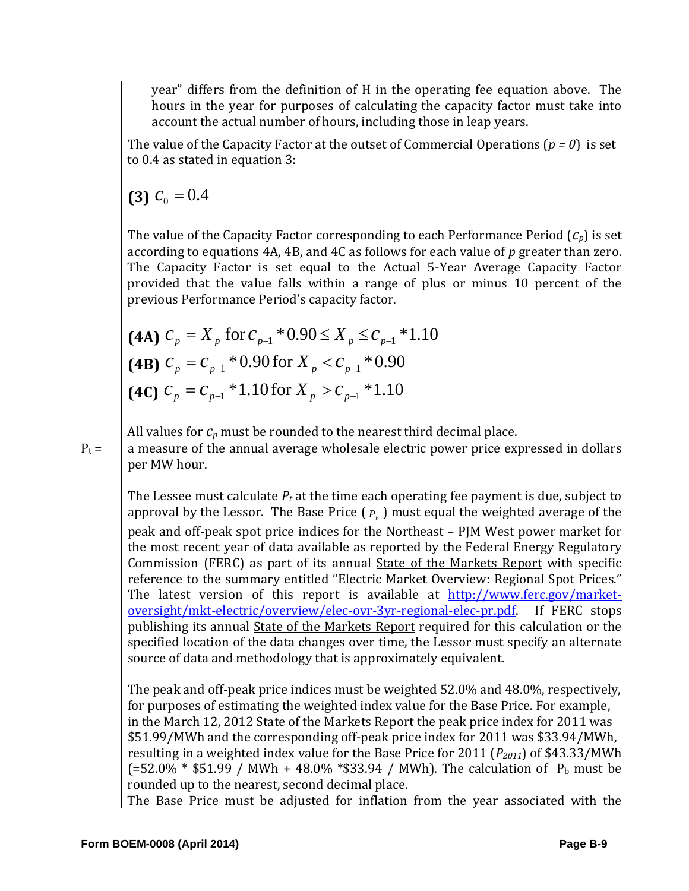|  |  | year" differs from the definition of H in the operating fee equation above. The  |  |  |  |  |
|--|--|----------------------------------------------------------------------------------|--|--|--|--|
|  |  | hours in the year for purposes of calculating the capacity factor must take into |  |  |  |  |
|  |  | account the actual number of hours, including those in leap years.               |  |  |  |  |

The value of the Capacity Factor at the outset of Commercial Operations  $(p = 0)$  is set to 0.4 as stated in equation 3:

**(3)**  $c_0 = 0.4$ 

The value of the Capacity Factor corresponding to each Performance Period  $(C_p)$  is set according to equations 4A, 4B, and 4C as follows for each value of p greater than zero. The Capacity Factor is set equal to the Actual 5-Year Average Capacity Factor provided that the value falls within a range of plus or minus 10 percent of the previous Performance Period's capacity factor.

| $(4A)$ $C_p = X_p$ for $C_{p-1} * 0.90 \le X_p \le C_{p-1} * 1.10$ |
|--------------------------------------------------------------------|
| (4B) $c_p = c_{p-1} * 0.90$ for $X_p < c_{p-1} * 0.90$             |
| (4C) $c_p = c_{p-1} * 1.10$ for $X_p > c_{p-1} * 1.10$             |

- All values for  $C_p$  must be rounded to the nearest third decimal place.
- $P_t =$  a measure of the annual average wholesale electric power price expressed in dollars per MW hour.

The Lessee must calculate  $P_t$  at the time each operating fee payment is due, subject to approval by the Lessor. The Base Price  $(P<sub>b</sub>)$  must equal the weighted average of the peak and off-peak spot price indices for the Northeast – PJM West power market for the most recent year of data available as reported by the Federal Energy Regulatory Commission (FERC) as part of its annual **State** of the Markets Report with specific reference to the summary entitled "Electric Market Overview: Regional Spot Prices." The latest version of this report is available at http://www.ferc.gov/marketoversight/mkt-electric/overview/elec-ovr-3yr-regional-elec-pr.pdf. If FERC stops publishing its annual State of the Markets Report required for this calculation or the specified location of the data changes over time, the Lessor must specify an alternate source of data and methodology that is approximately equivalent.

The peak and off-peak price indices must be weighted  $52.0\%$  and  $48.0\%$ , respectively, for purposes of estimating the weighted index value for the Base Price. For example, in the March 12, 2012 State of the Markets Report the peak price index for 2011 was \$51.99/MWh and the corresponding off-peak price index for 2011 was \$33.94/MWh, resulting in a weighted index value for the Base Price for  $2011$  ( $P_{2011}$ ) of \$43.33/MWh  $(=52.0\% * $51.99 / MWh + 48.0\% * $33.94 / MWh)$ . The calculation of  $P_b$  must be rounded up to the nearest, second decimal place.

The Base Price must be adjusted for inflation from the year associated with the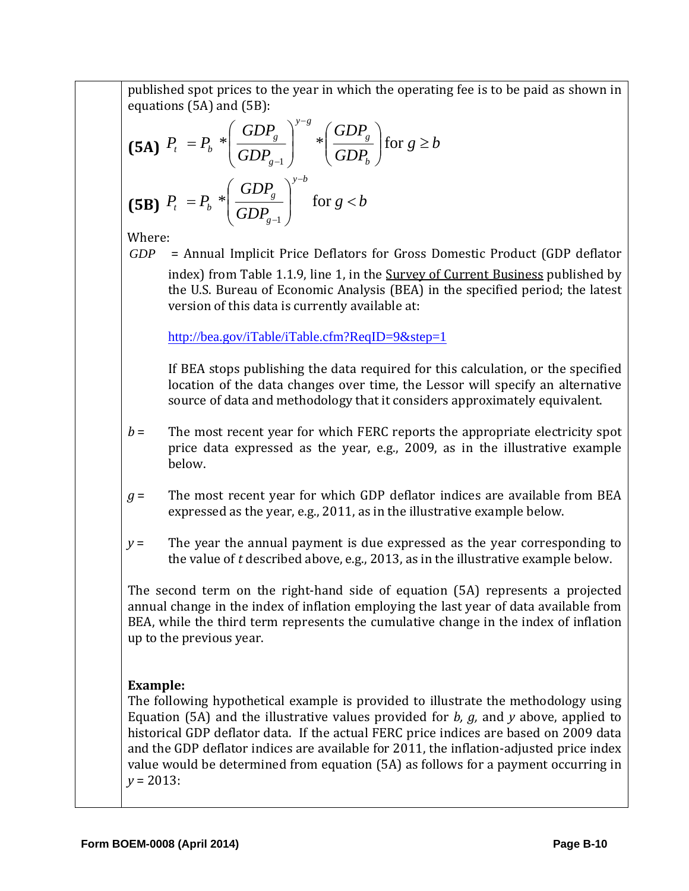published spot prices to the year in which the operating fee is to be paid as shown in equations  $(5A)$  and  $(5B)$ :

$$
\textbf{(5A)} \ \ P_{t} \ = P_{b} \ \ast \left(\frac{GDP_{g}}{GDP_{g-1}}\right)^{y-s} \ast \left(\frac{GDP_{g}}{GDP_{b}}\right) \text{ for } g \geq b
$$
\n
$$
\textbf{(5B)} \ \ P_{t} \ = P_{b} \ \ast \left(\frac{GDP_{g}}{GDP_{g-1}}\right)^{y-b} \text{ for } g < b
$$

Where: 

*GDP* = Annual Implicit Price Deflators for Gross Domestic Product (GDP deflator index) from Table 1.1.9, line 1, in the Survey of Current Business published by the U.S. Bureau of Economic Analysis (BEA) in the specified period; the latest version of this data is currently available at:

http://bea.gov/iTable/iTable.cfm?ReqID=9&step=1

If BEA stops publishing the data required for this calculation, or the specified location of the data changes over time, the Lessor will specify an alternative source of data and methodology that it considers approximately equivalent.

- $b =$  The most recent year for which FERC reports the appropriate electricity spot price data expressed as the year, e.g., 2009, as in the illustrative example below.
- $g =$  The most recent year for which GDP deflator indices are available from BEA expressed as the year, e.g., 2011, as in the illustrative example below.
- $y =$  The year the annual payment is due expressed as the year corresponding to the value of  $t$  described above, e.g., 2013, as in the illustrative example below.

The second term on the right-hand side of equation  $(5A)$  represents a projected annual change in the index of inflation employing the last year of data available from BEA, while the third term represents the cumulative change in the index of inflation up to the previous year.

# **Example:**

The following hypothetical example is provided to illustrate the methodology using Equation (5A) and the illustrative values provided for  $b$ ,  $g$ , and  $y$  above, applied to historical GDP deflator data. If the actual FERC price indices are based on 2009 data and the GDP deflator indices are available for 2011, the inflation-adjusted price index value would be determined from equation (5A) as follows for a payment occurring in  $y = 2013$ :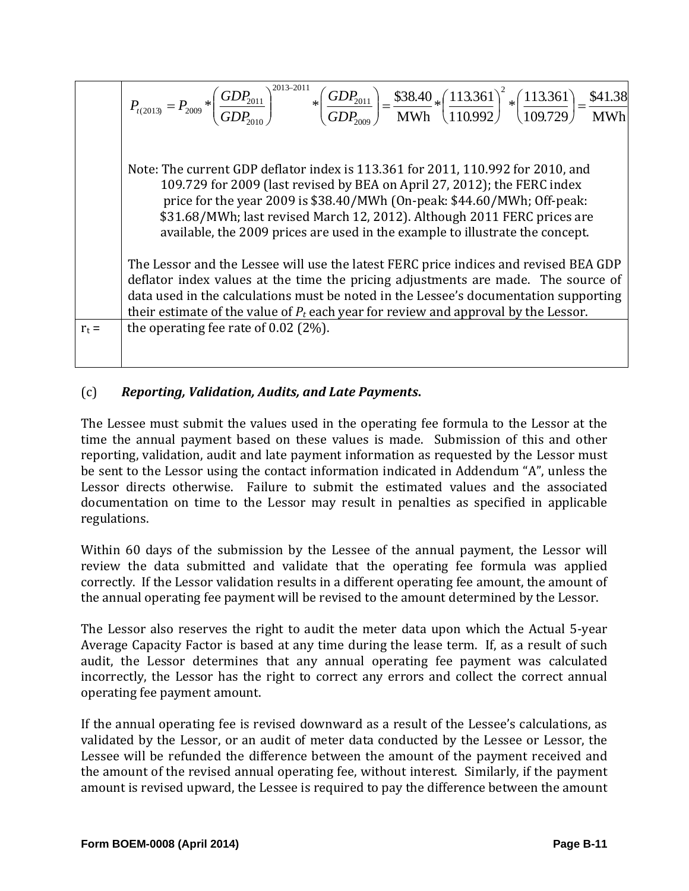MWh \$41.38 109.729  $*\left(\frac{113.361}{100.728}\right)$ 110.992  $*\left(\frac{113.361}{110000}\right)$ MWh  $*\left(\frac{GDP_{2011}}{GDP_{201}}\right)^{2013-2011}*\left(\frac{GDP_{2011}}{GDP_{201}}\right)=\frac{$38.40}{$1000}*\left(\frac{113.361}{110000}\right)^2$ 2009 2011 2013 2011 2010  $\begin{vmatrix} 2013 \end{vmatrix} = P_{200} * \left( \frac{ODP_{2011}}{CDR} \right) \qquad \qquad * \left( \frac{ODP_{2011}}{CDR} \right) = \frac{$30.40}{MNR} * \left( \frac{113.501}{110.002} \right) * \left( \frac{113.501}{100.720} \right) =$ J  $\left(\frac{113.361}{100.720}\right)$  $\setminus$  $\Bigg)^2 * \Bigg($ J  $\left(\frac{113.361}{110,000}\right)$  $=\frac{$38.40}{$MWh}*\left($ J  $\setminus$  $\overline{\phantom{a}}$  $\setminus$ ſ  $\overline{\phantom{a}}$ J  $\backslash$  $\overline{\phantom{a}}$  $\setminus$  $= P_{2009} * \left(\frac{GDP_{2011}}{T} \right)^{2013}$ *GDP GDP*  $P_{t(2013)} = P_{2009} * \left(\frac{GDP_2}{GDP_2}\right)$ Note: The current GDP deflator index is  $113.361$  for  $2011$ ,  $110.992$  for  $2010$ , and 109.729 for 2009 (last revised by BEA on April 27, 2012); the FERC index price for the year 2009 is  $$38.40/MWh$  (On-peak:  $$44.60/MWh$ ; Off-peak: \$31.68/MWh; last revised March 12, 2012). Although 2011 FERC prices are available, the 2009 prices are used in the example to illustrate the concept. The Lessor and the Lessee will use the latest FERC price indices and revised BEA GDP deflator index values at the time the pricing adjustments are made. The source of data used in the calculations must be noted in the Lessee's documentation supporting their estimate of the value of  $P_t$  each year for review and approval by the Lessor.  $r_t =$  the operating fee rate of 0.02 (2%).

# (c) *Reporting, Validation, Audits, and Late Payments***.**

The Lessee must submit the values used in the operating fee formula to the Lessor at the time the annual payment based on these values is made. Submission of this and other reporting, validation, audit and late payment information as requested by the Lessor must be sent to the Lessor using the contact information indicated in Addendum "A", unless the Lessor directs otherwise. Failure to submit the estimated values and the associated documentation on time to the Lessor may result in penalties as specified in applicable regulations. 

Within 60 days of the submission by the Lessee of the annual payment, the Lessor will review the data submitted and validate that the operating fee formula was applied correctly. If the Lessor validation results in a different operating fee amount, the amount of the annual operating fee payment will be revised to the amount determined by the Lessor.

The Lessor also reserves the right to audit the meter data upon which the Actual 5-year Average Capacity Factor is based at any time during the lease term. If, as a result of such audit, the Lessor determines that any annual operating fee payment was calculated incorrectly, the Lessor has the right to correct any errors and collect the correct annual operating fee payment amount.

If the annual operating fee is revised downward as a result of the Lessee's calculations, as validated by the Lessor, or an audit of meter data conducted by the Lessee or Lessor, the Lessee will be refunded the difference between the amount of the payment received and the amount of the revised annual operating fee, without interest. Similarly, if the payment amount is revised upward, the Lessee is required to pay the difference between the amount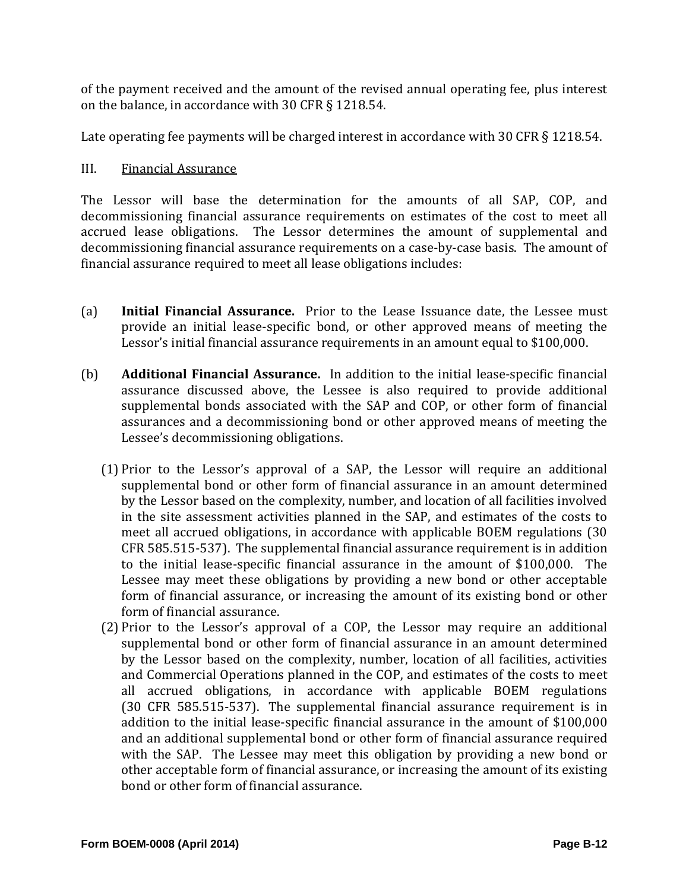of the payment received and the amount of the revised annual operating fee, plus interest on the balance, in accordance with 30 CFR § 1218.54.

Late operating fee payments will be charged interest in accordance with 30 CFR  $\S$  1218.54.

# III. Financial Assurance

The Lessor will base the determination for the amounts of all SAP, COP, and decommissioning financial assurance requirements on estimates of the cost to meet all accrued lease obligations. The Lessor determines the amount of supplemental and decommissioning financial assurance requirements on a case-by-case basis. The amount of financial assurance required to meet all lease obligations includes:

- (a) **Initial Financial Assurance.** Prior to the Lease Issuance date, the Lessee must provide an initial lease-specific bond, or other approved means of meeting the Lessor's initial financial assurance requirements in an amount equal to \$100,000.
- (b) **Additional Financial Assurance.** In addition to the initial lease-specific financial assurance discussed above, the Lessee is also required to provide additional supplemental bonds associated with the SAP and COP, or other form of financial assurances and a decommissioning bond or other approved means of meeting the Lessee's decommissioning obligations.
	- $(1)$  Prior to the Lessor's approval of a SAP, the Lessor will require an additional supplemental bond or other form of financial assurance in an amount determined by the Lessor based on the complexity, number, and location of all facilities involved in the site assessment activities planned in the SAP, and estimates of the costs to meet all accrued obligations, in accordance with applicable BOEM regulations (30  $CFR 585.515-537$ . The supplemental financial assurance requirement is in addition to the initial lease-specific financial assurance in the amount of \$100,000. The Lessee may meet these obligations by providing a new bond or other acceptable form of financial assurance, or increasing the amount of its existing bond or other form of financial assurance.
	- $(2)$  Prior to the Lessor's approval of a COP, the Lessor may require an additional supplemental bond or other form of financial assurance in an amount determined by the Lessor based on the complexity, number, location of all facilities, activities and Commercial Operations planned in the COP, and estimates of the costs to meet all accrued obligations, in accordance with applicable BOEM regulations (30 CFR 585.515-537). The supplemental financial assurance requirement is in addition to the initial lease-specific financial assurance in the amount of \$100,000 and an additional supplemental bond or other form of financial assurance required with the SAP. The Lessee may meet this obligation by providing a new bond or other acceptable form of financial assurance, or increasing the amount of its existing bond or other form of financial assurance.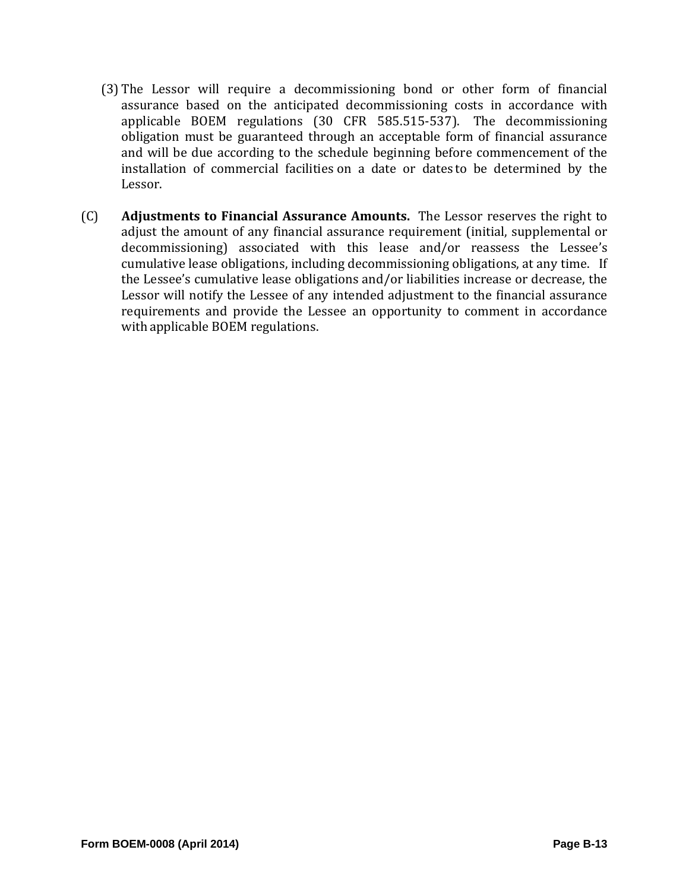- (3) The Lessor will require a decommissioning bond or other form of financial assurance based on the anticipated decommissioning costs in accordance with applicable BOEM regulations (30 CFR 585.515-537). The decommissioning obligation must be guaranteed through an acceptable form of financial assurance and will be due according to the schedule beginning before commencement of the installation of commercial facilities on a date or dates to be determined by the Lessor.
- (C) **Adjustments to Financial Assurance Amounts.** The Lessor reserves the right to adjust the amount of any financial assurance requirement (initial, supplemental or decommissioning) associated with this lease and/or reassess the Lessee's cumulative lease obligations, including decommissioning obligations, at any time. If the Lessee's cumulative lease obligations and/or liabilities increase or decrease, the Lessor will notify the Lessee of any intended adjustment to the financial assurance requirements and provide the Lessee an opportunity to comment in accordance with applicable BOEM regulations.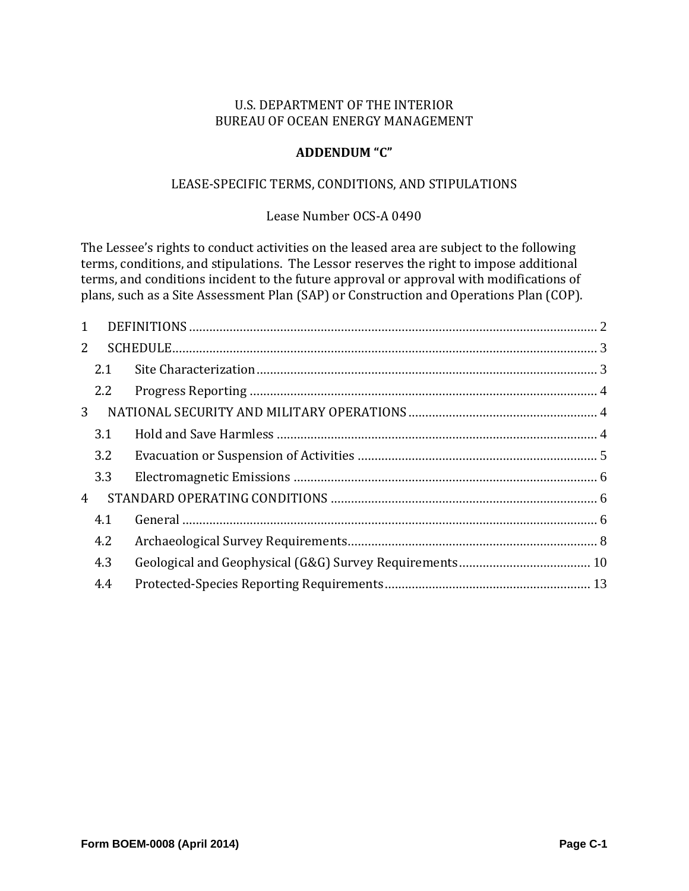## **ADDENDUM "C"**

#### LEASE-SPECIFIC TERMS, CONDITIONS, AND STIPULATIONS

#### Lease Number OCS-A 0490

The Lessee's rights to conduct activities on the leased area are subject to the following terms, conditions, and stipulations. The Lessor reserves the right to impose additional terms, and conditions incident to the future approval or approval with modifications of plans, such as a Site Assessment Plan (SAP) or Construction and Operations Plan (COP).

| $\mathbf{1}$   |     |  |
|----------------|-----|--|
| $\overline{2}$ |     |  |
|                | 2.1 |  |
|                | 2.2 |  |
| 3              |     |  |
|                | 3.1 |  |
|                | 3.2 |  |
|                | 3.3 |  |
| 4              |     |  |
|                | 4.1 |  |
|                | 4.2 |  |
|                | 4.3 |  |
|                | 4.4 |  |
|                |     |  |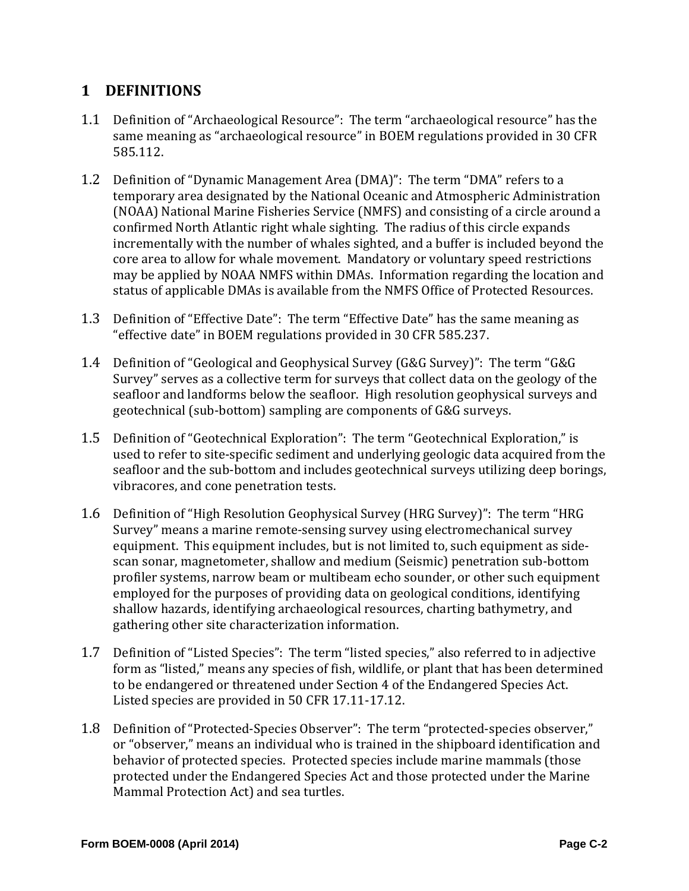# **1 DEFINITIONS**

- 1.1 Definition of "Archaeological Resource": The term "archaeological resource" has the same meaning as "archaeological resource" in BOEM regulations provided in 30 CFR 585.112.
- 1.2 Definition of "Dynamic Management Area (DMA)": The term "DMA" refers to a temporary area designated by the National Oceanic and Atmospheric Administration (NOAA) National Marine Fisheries Service (NMFS) and consisting of a circle around a confirmed North Atlantic right whale sighting. The radius of this circle expands incrementally with the number of whales sighted, and a buffer is included beyond the core area to allow for whale movement. Mandatory or voluntary speed restrictions may be applied by NOAA NMFS within DMAs. Information regarding the location and status of applicable DMAs is available from the NMFS Office of Protected Resources.
- 1.3 Definition of "Effective Date": The term "Effective Date" has the same meaning as "effective date" in BOEM regulations provided in 30 CFR 585.237.
- 1.4 Definition of "Geological and Geophysical Survey (G&G Survey)": The term "G&G Survey" serves as a collective term for surveys that collect data on the geology of the seafloor and landforms below the seafloor. High resolution geophysical surveys and geotechnical (sub-bottom) sampling are components of G&G surveys.
- 1.5 Definition of "Geotechnical Exploration": The term "Geotechnical Exploration," is used to refer to site-specific sediment and underlying geologic data acquired from the seafloor and the sub-bottom and includes geotechnical surveys utilizing deep borings, vibracores, and cone penetration tests.
- 1.6 Definition of "High Resolution Geophysical Survey (HRG Survey)": The term "HRG Survey" means a marine remote-sensing survey using electromechanical survey equipment. This equipment includes, but is not limited to, such equipment as sidescan sonar, magnetometer, shallow and medium (Seismic) penetration sub-bottom profiler systems, narrow beam or multibeam echo sounder, or other such equipment employed for the purposes of providing data on geological conditions, identifying shallow hazards, identifying archaeological resources, charting bathymetry, and gathering other site characterization information.
- 1.7 Definition of "Listed Species": The term "listed species," also referred to in adjective form as "listed," means any species of fish, wildlife, or plant that has been determined to be endangered or threatened under Section 4 of the Endangered Species Act. Listed species are provided in 50 CFR 17.11-17.12.
- 1.8 Definition of "Protected-Species Observer": The term "protected-species observer," or "observer," means an individual who is trained in the shipboard identification and behavior of protected species. Protected species include marine mammals (those protected under the Endangered Species Act and those protected under the Marine Mammal Protection Act) and sea turtles.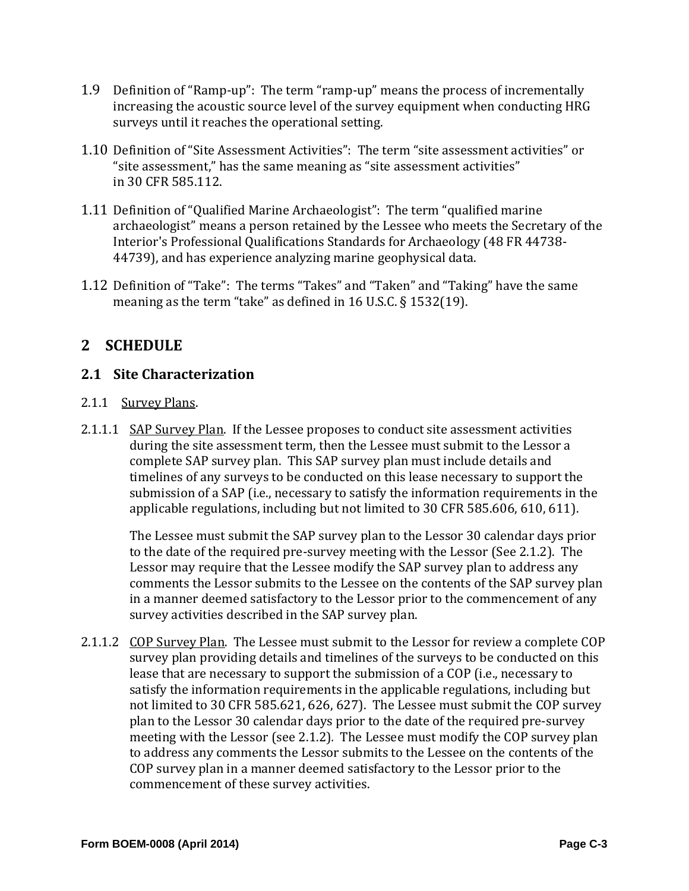- 1.9 Definition of "Ramp-up": The term "ramp-up" means the process of incrementally increasing the acoustic source level of the survey equipment when conducting HRG surveys until it reaches the operational setting.
- 1.10 Definition of "Site Assessment Activities": The term "site assessment activities" or "site assessment," has the same meaning as "site assessment activities" in 30 CFR 585.112.
- 1.11 Definition of "Qualified Marine Archaeologist": The term "qualified marine archaeologist" means a person retained by the Lessee who meets the Secretary of the Interior's Professional Qualifications Standards for Archaeology (48 FR 44738-44739), and has experience analyzing marine geophysical data.
- 1.12 Definition of "Take": The terms "Takes" and "Taken" and "Taking" have the same meaning as the term "take" as defined in  $16$  U.S.C. § 1532(19).

# **2 SCHEDULE**

# **2.1 Site Characterization**

- 2.1.1 Survey Plans.
- 2.1.1.1 SAP Survey Plan. If the Lessee proposes to conduct site assessment activities during the site assessment term, then the Lessee must submit to the Lessor a complete SAP survey plan. This SAP survey plan must include details and timelines of any surveys to be conducted on this lease necessary to support the submission of a SAP (i.e., necessary to satisfy the information requirements in the applicable regulations, including but not limited to 30 CFR 585.606, 610, 611).

The Lessee must submit the SAP survey plan to the Lessor 30 calendar days prior to the date of the required pre-survey meeting with the Lessor (See 2.1.2). The Lessor may require that the Lessee modify the SAP survey plan to address any comments the Lessor submits to the Lessee on the contents of the SAP survey plan in a manner deemed satisfactory to the Lessor prior to the commencement of any survey activities described in the SAP survey plan.

2.1.1.2 COP Survey Plan. The Lessee must submit to the Lessor for review a complete COP survey plan providing details and timelines of the surveys to be conducted on this lease that are necessary to support the submission of a COP (i.e., necessary to satisfy the information requirements in the applicable regulations, including but not limited to 30 CFR 585.621, 626, 627). The Lessee must submit the COP survey plan to the Lessor 30 calendar days prior to the date of the required pre-survey meeting with the Lessor (see 2.1.2). The Lessee must modify the COP survey plan to address any comments the Lessor submits to the Lessee on the contents of the COP survey plan in a manner deemed satisfactory to the Lessor prior to the commencement of these survey activities.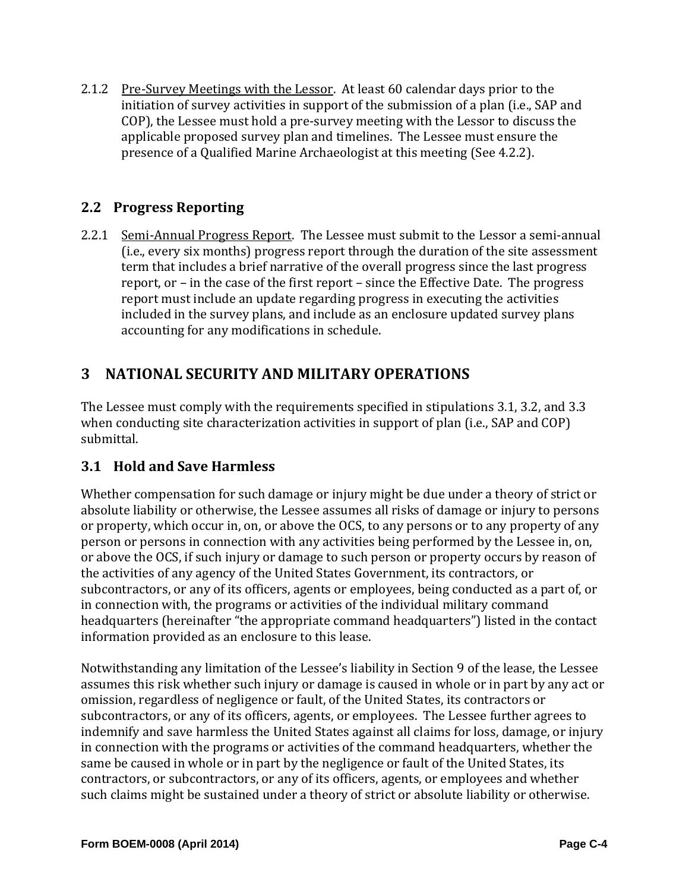2.1.2 Pre-Survey Meetings with the Lessor. At least 60 calendar days prior to the initiation of survey activities in support of the submission of a plan (i.e., SAP and COP), the Lessee must hold a pre-survey meeting with the Lessor to discuss the applicable proposed survey plan and timelines. The Lessee must ensure the presence of a Qualified Marine Archaeologist at this meeting (See 4.2.2).

# **2.2 Progress Reporting**

2.2.1 Semi-Annual Progress Report. The Lessee must submit to the Lessor a semi-annual (i.e., every six months) progress report through the duration of the site assessment term that includes a brief narrative of the overall progress since the last progress report, or – in the case of the first report – since the Effective Date. The progress report must include an update regarding progress in executing the activities included in the survey plans, and include as an enclosure updated survey plans accounting for any modifications in schedule.

# **3 NATIONAL SECURITY AND MILITARY OPERATIONS**

The Lessee must comply with the requirements specified in stipulations 3.1, 3.2, and 3.3 when conducting site characterization activities in support of plan (i.e., SAP and COP) submittal. 

# **3.1 Hold and Save Harmless**

Whether compensation for such damage or injury might be due under a theory of strict or absolute liability or otherwise, the Lessee assumes all risks of damage or injury to persons or property, which occur in, on, or above the OCS, to any persons or to any property of any person or persons in connection with any activities being performed by the Lessee in, on, or above the OCS, if such injury or damage to such person or property occurs by reason of the activities of any agency of the United States Government, its contractors, or subcontractors, or any of its officers, agents or employees, being conducted as a part of, or in connection with, the programs or activities of the individual military command headquarters (hereinafter "the appropriate command headquarters") listed in the contact information provided as an enclosure to this lease.

Notwithstanding any limitation of the Lessee's liability in Section 9 of the lease, the Lessee assumes this risk whether such injury or damage is caused in whole or in part by any act or omission, regardless of negligence or fault, of the United States, its contractors or subcontractors, or any of its officers, agents, or employees. The Lessee further agrees to indemnify and save harmless the United States against all claims for loss, damage, or injury in connection with the programs or activities of the command headquarters, whether the same be caused in whole or in part by the negligence or fault of the United States, its contractors, or subcontractors, or any of its officers, agents, or employees and whether such claims might be sustained under a theory of strict or absolute liability or otherwise.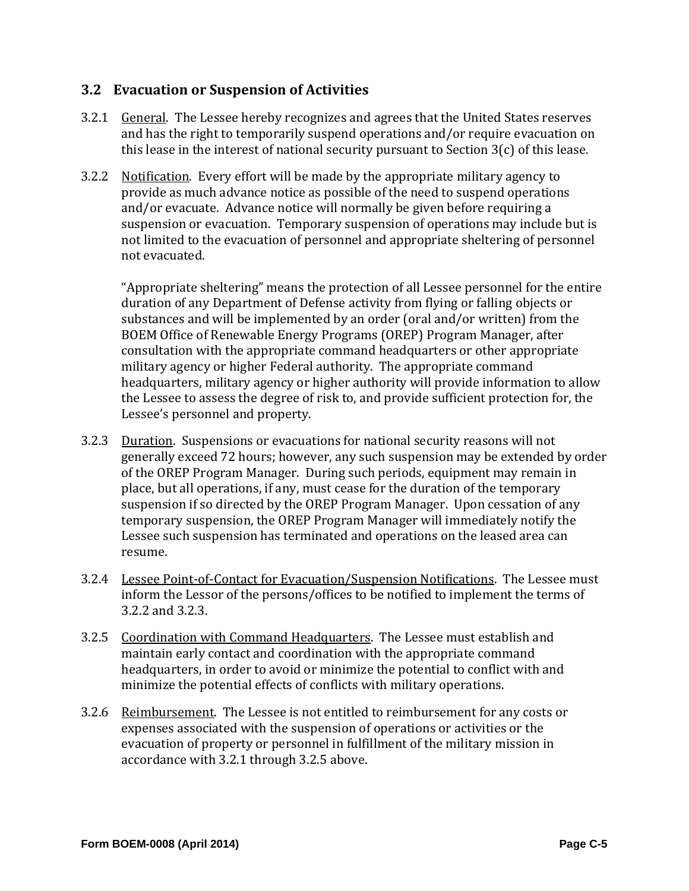# **3.2 Evacuation or Suspension of Activities**

- 3.2.1 General. The Lessee hereby recognizes and agrees that the United States reserves and has the right to temporarily suspend operations and/or require evacuation on this lease in the interest of national security pursuant to Section  $3(c)$  of this lease.
- 3.2.2 Notification. Every effort will be made by the appropriate military agency to provide as much advance notice as possible of the need to suspend operations and/or evacuate. Advance notice will normally be given before requiring a suspension or evacuation. Temporary suspension of operations may include but is not limited to the evacuation of personnel and appropriate sheltering of personnel not evacuated.

"Appropriate sheltering" means the protection of all Lessee personnel for the entire duration of any Department of Defense activity from flying or falling objects or substances and will be implemented by an order (oral and/or written) from the BOEM Office of Renewable Energy Programs (OREP) Program Manager, after consultation with the appropriate command headquarters or other appropriate military agency or higher Federal authority. The appropriate command headquarters, military agency or higher authority will provide information to allow the Lessee to assess the degree of risk to, and provide sufficient protection for, the Lessee's personnel and property.

- 3.2.3 Duration. Suspensions or evacuations for national security reasons will not generally exceed 72 hours; however, any such suspension may be extended by order of the OREP Program Manager. During such periods, equipment may remain in place, but all operations, if any, must cease for the duration of the temporary suspension if so directed by the OREP Program Manager. Upon cessation of any temporary suspension, the OREP Program Manager will immediately notify the Lessee such suspension has terminated and operations on the leased area can resume.
- 3.2.4 Lessee Point-of-Contact for Evacuation/Suspension Notifications. The Lessee must inform the Lessor of the persons/offices to be notified to implement the terms of 3.2.2 and 3.2.3.
- 3.2.5 Coordination with Command Headquarters. The Lessee must establish and maintain early contact and coordination with the appropriate command headquarters, in order to avoid or minimize the potential to conflict with and minimize the potential effects of conflicts with military operations.
- 3.2.6 Reimbursement. The Lessee is not entitled to reimbursement for any costs or expenses associated with the suspension of operations or activities or the evacuation of property or personnel in fulfillment of the military mission in accordance with 3.2.1 through 3.2.5 above.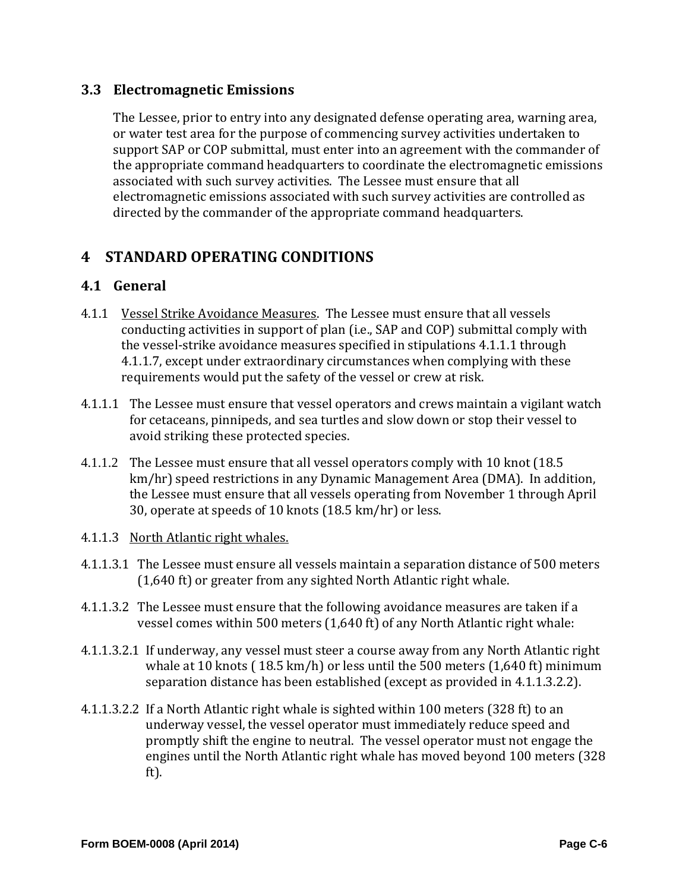# **3.3 Electromagnetic Emissions**

The Lessee, prior to entry into any designated defense operating area, warning area, or water test area for the purpose of commencing survey activities undertaken to support SAP or COP submittal, must enter into an agreement with the commander of the appropriate command headquarters to coordinate the electromagnetic emissions associated with such survey activities. The Lessee must ensure that all electromagnetic emissions associated with such survey activities are controlled as directed by the commander of the appropriate command headquarters.

# **4 STANDARD OPERATING CONDITIONS**

# **4.1 General**

- 4.1.1 Vessel Strike Avoidance Measures. The Lessee must ensure that all vessels conducting activities in support of plan (i.e., SAP and COP) submittal comply with the vessel-strike avoidance measures specified in stipulations 4.1.1.1 through 4.1.1.7, except under extraordinary circumstances when complying with these requirements would put the safety of the vessel or crew at risk.
- 4.1.1.1 The Lessee must ensure that vessel operators and crews maintain a vigilant watch for cetaceans, pinnipeds, and sea turtles and slow down or stop their vessel to avoid striking these protected species.
- 4.1.1.2 The Lessee must ensure that all vessel operators comply with 10 knot (18.5) km/hr) speed restrictions in any Dynamic Management Area (DMA). In addition, the Lessee must ensure that all vessels operating from November 1 through April 30, operate at speeds of 10 knots (18.5 km/hr) or less.
- 4.1.1.3 North Atlantic right whales.
- 4.1.1.3.1 The Lessee must ensure all vessels maintain a separation distance of 500 meters  $(1,640 \text{ ft})$  or greater from any sighted North Atlantic right whale.
- 4.1.1.3.2 The Lessee must ensure that the following avoidance measures are taken if a vessel comes within  $500$  meters  $(1,640 \text{ ft})$  of any North Atlantic right whale:
- 4.1.1.3.2.1 If underway, any vessel must steer a course away from any North Atlantic right whale at 10 knots ( $18.5 \text{ km/h}$ ) or less until the 500 meters ( $1,640 \text{ ft}$ ) minimum separation distance has been established (except as provided in 4.1.1.3.2.2).
- 4.1.1.3.2.2 If a North Atlantic right whale is sighted within 100 meters (328 ft) to an underway vessel, the vessel operator must immediately reduce speed and promptly shift the engine to neutral. The vessel operator must not engage the engines until the North Atlantic right whale has moved beyond 100 meters (328) ft).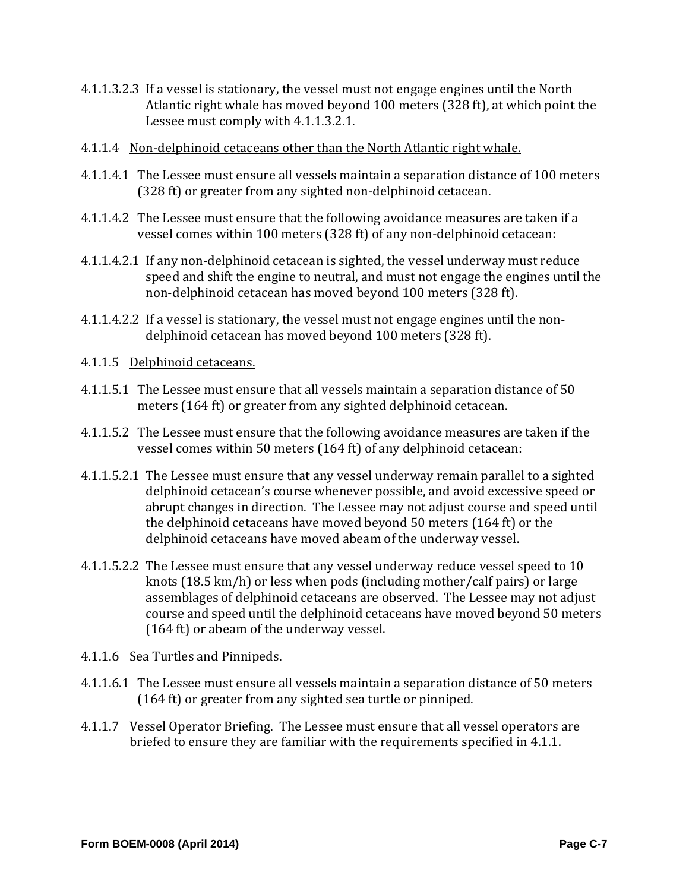- 4.1.1.3.2.3 If a vessel is stationary, the vessel must not engage engines until the North Atlantic right whale has moved beyond 100 meters (328 ft), at which point the Lessee must comply with 4.1.1.3.2.1.
- 4.1.1.4 Non-delphinoid cetaceans other than the North Atlantic right whale.
- 4.1.1.4.1 The Lessee must ensure all vessels maintain a separation distance of 100 meters (328 ft) or greater from any sighted non-delphinoid cetacean.
- 4.1.1.4.2 The Lessee must ensure that the following avoidance measures are taken if a vessel comes within 100 meters (328 ft) of any non-delphinoid cetacean:
- 4.1.1.4.2.1 If any non-delphinoid cetacean is sighted, the vessel underway must reduce speed and shift the engine to neutral, and must not engage the engines until the non-delphinoid cetacean has moved beyond 100 meters (328 ft).
- 4.1.1.4.2.2 If a vessel is stationary, the vessel must not engage engines until the nondelphinoid cetacean has moved beyond 100 meters (328 ft).
- 4.1.1.5 Delphinoid cetaceans.
- 4.1.1.5.1 The Lessee must ensure that all vessels maintain a separation distance of 50 meters (164 ft) or greater from any sighted delphinoid cetacean.
- 4.1.1.5.2 The Lessee must ensure that the following avoidance measures are taken if the vessel comes within 50 meters (164 ft) of any delphinoid cetacean:
- 4.1.1.5.2.1 The Lessee must ensure that any vessel underway remain parallel to a sighted delphinoid cetacean's course whenever possible, and avoid excessive speed or abrupt changes in direction. The Lessee may not adjust course and speed until the delphinoid cetaceans have moved beyond  $50$  meters  $(164 ft)$  or the delphinoid cetaceans have moved abeam of the underway vessel.
- 4.1.1.5.2.2 The Lessee must ensure that any vessel underway reduce vessel speed to 10 knots  $(18.5 \text{ km/h})$  or less when pods (including mother/calf pairs) or large assemblages of delphinoid cetaceans are observed. The Lessee may not adjust course and speed until the delphinoid cetaceans have moved beyond 50 meters  $(164 \text{ ft})$  or abeam of the underway vessel.
- 4.1.1.6 Sea Turtles and Pinnipeds.
- 4.1.1.6.1 The Lessee must ensure all vessels maintain a separation distance of 50 meters (164 ft) or greater from any sighted sea turtle or pinniped.
- 4.1.1.7 Vessel Operator Briefing. The Lessee must ensure that all vessel operators are briefed to ensure they are familiar with the requirements specified in 4.1.1.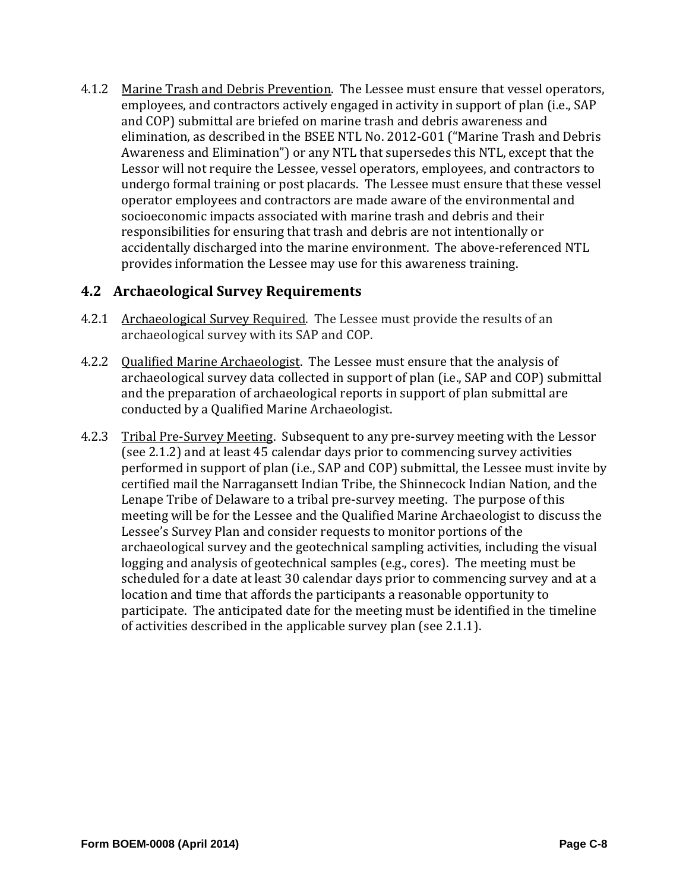4.1.2 Marine Trash and Debris Prevention. The Lessee must ensure that vessel operators, employees, and contractors actively engaged in activity in support of plan (i.e., SAP and COP) submittal are briefed on marine trash and debris awareness and elimination, as described in the BSEE NTL No. 2012-G01 ("Marine Trash and Debris Awareness and Elimination") or any NTL that supersedes this NTL, except that the Lessor will not require the Lessee, vessel operators, employees, and contractors to undergo formal training or post placards. The Lessee must ensure that these vessel operator employees and contractors are made aware of the environmental and socioeconomic impacts associated with marine trash and debris and their responsibilities for ensuring that trash and debris are not intentionally or accidentally discharged into the marine environment. The above-referenced NTL provides information the Lessee may use for this awareness training.

# **4.2 Archaeological Survey Requirements**

- 4.2.1 Archaeological Survey Required. The Lessee must provide the results of an archaeological survey with its SAP and COP.
- 4.2.2 Qualified Marine Archaeologist. The Lessee must ensure that the analysis of archaeological survey data collected in support of plan (i.e., SAP and COP) submittal and the preparation of archaeological reports in support of plan submittal are conducted by a Qualified Marine Archaeologist.
- 4.2.3 Tribal Pre-Survey Meeting. Subsequent to any pre-survey meeting with the Lessor (see 2.1.2) and at least 45 calendar days prior to commencing survey activities performed in support of plan (i.e., SAP and COP) submittal, the Lessee must invite by certified mail the Narragansett Indian Tribe, the Shinnecock Indian Nation, and the Lenape Tribe of Delaware to a tribal pre-survey meeting. The purpose of this meeting will be for the Lessee and the Qualified Marine Archaeologist to discuss the Lessee's Survey Plan and consider requests to monitor portions of the archaeological survey and the geotechnical sampling activities, including the visual logging and analysis of geotechnical samples (e.g., cores). The meeting must be scheduled for a date at least 30 calendar days prior to commencing survey and at a location and time that affords the participants a reasonable opportunity to participate. The anticipated date for the meeting must be identified in the timeline of activities described in the applicable survey plan (see  $2.1.1$ ).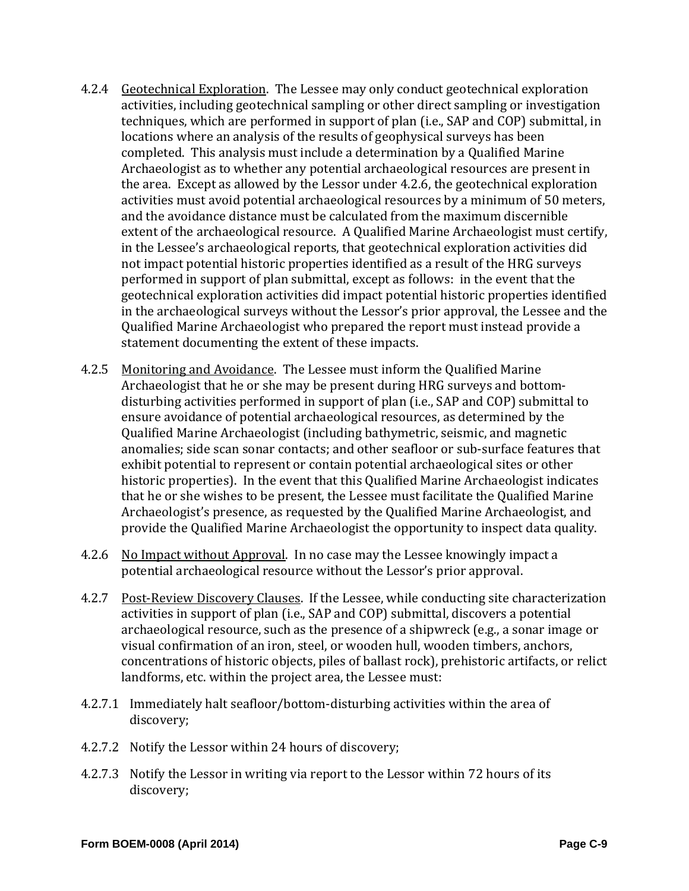- 4.2.4 Geotechnical Exploration. The Lessee may only conduct geotechnical exploration activities, including geotechnical sampling or other direct sampling or investigation techniques, which are performed in support of plan (i.e., SAP and COP) submittal, in locations where an analysis of the results of geophysical surveys has been completed. This analysis must include a determination by a Qualified Marine Archaeologist as to whether any potential archaeological resources are present in the area. Except as allowed by the Lessor under 4.2.6, the geotechnical exploration activities must avoid potential archaeological resources by a minimum of 50 meters, and the avoidance distance must be calculated from the maximum discernible extent of the archaeological resource. A Qualified Marine Archaeologist must certify, in the Lessee's archaeological reports, that geotechnical exploration activities did not impact potential historic properties identified as a result of the HRG surveys performed in support of plan submittal, except as follows: in the event that the geotechnical exploration activities did impact potential historic properties identified in the archaeological surveys without the Lessor's prior approval, the Lessee and the Qualified Marine Archaeologist who prepared the report must instead provide a statement documenting the extent of these impacts.
- 4.2.5 Monitoring and Avoidance. The Lessee must inform the Qualified Marine Archaeologist that he or she may be present during HRG surveys and bottomdisturbing activities performed in support of plan (i.e., SAP and COP) submittal to ensure avoidance of potential archaeological resources, as determined by the Qualified Marine Archaeologist (including bathymetric, seismic, and magnetic anomalies; side scan sonar contacts; and other seafloor or sub-surface features that exhibit potential to represent or contain potential archaeological sites or other historic properties). In the event that this Qualified Marine Archaeologist indicates that he or she wishes to be present, the Lessee must facilitate the Qualified Marine Archaeologist's presence, as requested by the Qualified Marine Archaeologist, and provide the Qualified Marine Archaeologist the opportunity to inspect data quality.
- 4.2.6 No Impact without Approval. In no case may the Lessee knowingly impact a potential archaeological resource without the Lessor's prior approval.
- 4.2.7 Post-Review Discovery Clauses. If the Lessee, while conducting site characterization activities in support of plan (i.e., SAP and COP) submittal, discovers a potential archaeological resource, such as the presence of a shipwreck (e.g., a sonar image or visual confirmation of an iron, steel, or wooden hull, wooden timbers, anchors, concentrations of historic objects, piles of ballast rock), prehistoric artifacts, or relict landforms, etc. within the project area, the Lessee must:
- 4.2.7.1 Immediately halt seafloor/bottom-disturbing activities within the area of discovery;
- 4.2.7.2 Notify the Lessor within 24 hours of discovery;
- 4.2.7.3 Notify the Lessor in writing via report to the Lessor within 72 hours of its discovery;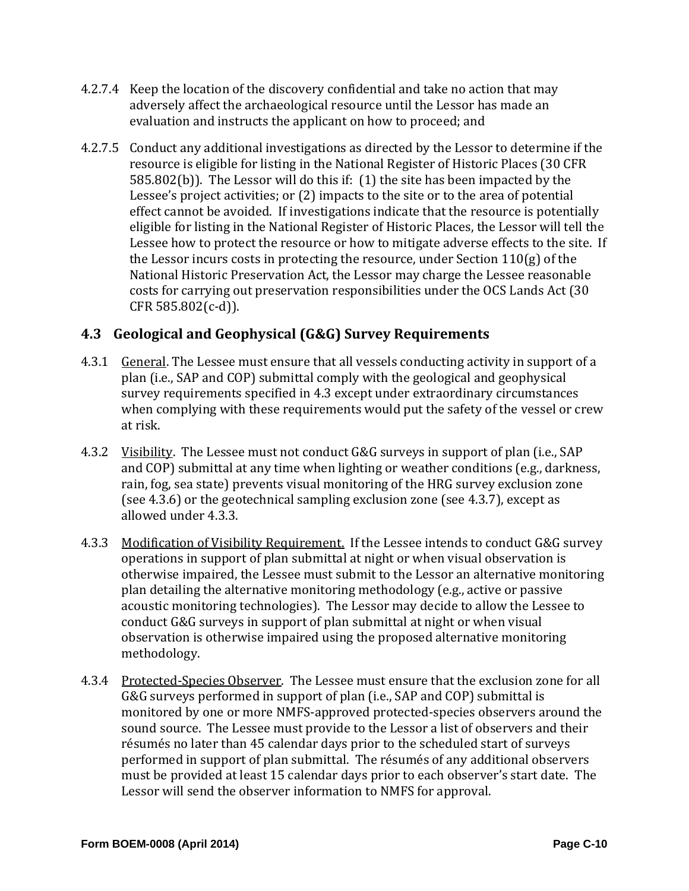- 4.2.7.4 Keep the location of the discovery confidential and take no action that may adversely affect the archaeological resource until the Lessor has made an evaluation and instructs the applicant on how to proceed; and
- 4.2.7.5 Conduct any additional investigations as directed by the Lessor to determine if the resource is eligible for listing in the National Register of Historic Places (30 CFR 585.802(b)). The Lessor will do this if:  $(1)$  the site has been impacted by the Lessee's project activities; or  $(2)$  impacts to the site or to the area of potential effect cannot be avoided. If investigations indicate that the resource is potentially eligible for listing in the National Register of Historic Places, the Lessor will tell the Lessee how to protect the resource or how to mitigate adverse effects to the site. If the Lessor incurs costs in protecting the resource, under Section  $110(g)$  of the National Historic Preservation Act, the Lessor may charge the Lessee reasonable costs for carrying out preservation responsibilities under the OCS Lands Act (30) CFR 585.802(c-d)).

# **4.3 Geological and Geophysical (G&G) Survey Requirements**

- 4.3.1 General. The Lessee must ensure that all vessels conducting activity in support of a plan (i.e., SAP and COP) submittal comply with the geological and geophysical survey requirements specified in 4.3 except under extraordinary circumstances when complying with these requirements would put the safety of the vessel or crew at risk.
- 4.3.2 Visibility. The Lessee must not conduct G&G surveys in support of plan (i.e., SAP and COP) submittal at any time when lighting or weather conditions (e.g., darkness, rain, fog, sea state) prevents visual monitoring of the HRG survey exclusion zone (see  $4.3.6$ ) or the geotechnical sampling exclusion zone (see  $4.3.7$ ), except as allowed under 4.3.3.
- 4.3.3 Modification of Visibility Requirement. If the Lessee intends to conduct G&G survey operations in support of plan submittal at night or when visual observation is otherwise impaired, the Lessee must submit to the Lessor an alternative monitoring plan detailing the alternative monitoring methodology (e.g., active or passive acoustic monitoring technologies). The Lessor may decide to allow the Lessee to conduct G&G surveys in support of plan submittal at night or when visual observation is otherwise impaired using the proposed alternative monitoring methodology.
- 4.3.4 Protected-Species Observer. The Lessee must ensure that the exclusion zone for all G&G surveys performed in support of plan (i.e., SAP and COP) submittal is monitored by one or more NMFS-approved protected-species observers around the sound source. The Lessee must provide to the Lessor a list of observers and their résumés no later than 45 calendar days prior to the scheduled start of surveys performed in support of plan submittal. The résumés of any additional observers must be provided at least 15 calendar days prior to each observer's start date. The Lessor will send the observer information to NMFS for approval.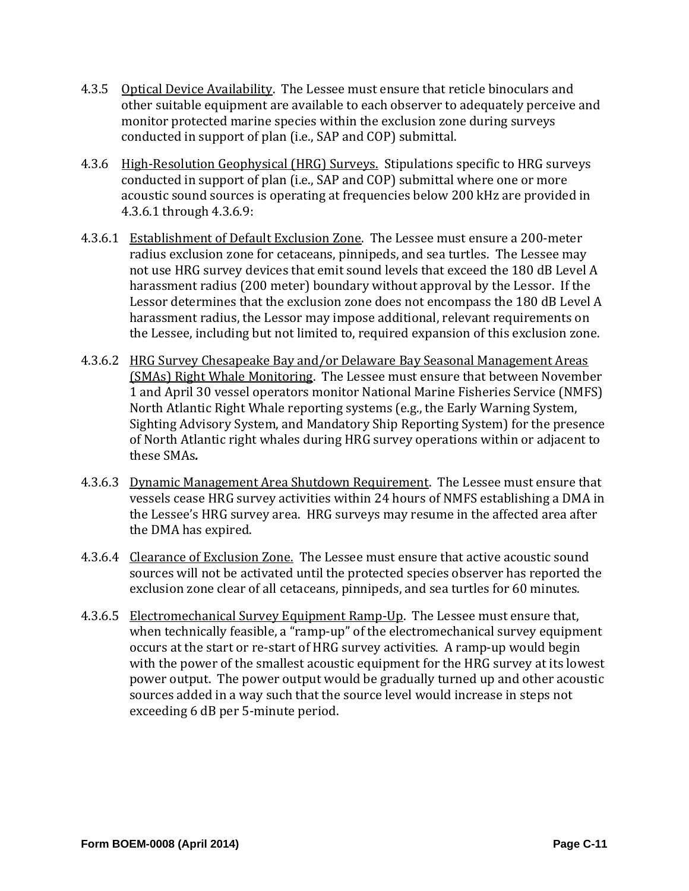- 4.3.5 Optical Device Availability. The Lessee must ensure that reticle binoculars and other suitable equipment are available to each observer to adequately perceive and monitor protected marine species within the exclusion zone during surveys conducted in support of plan (i.e., SAP and COP) submittal.
- 4.3.6 High-Resolution Geophysical (HRG) Surveys. Stipulations specific to HRG surveys conducted in support of plan (i.e., SAP and COP) submittal where one or more acoustic sound sources is operating at frequencies below 200 kHz are provided in 4.3.6.1 through 4.3.6.9:
- 4.3.6.1 Establishment of Default Exclusion Zone. The Lessee must ensure a 200-meter radius exclusion zone for cetaceans, pinnipeds, and sea turtles. The Lessee may not use HRG survey devices that emit sound levels that exceed the 180 dB Level A harassment radius (200 meter) boundary without approval by the Lessor. If the Lessor determines that the exclusion zone does not encompass the 180 dB Level A harassment radius, the Lessor may impose additional, relevant requirements on the Lessee, including but not limited to, required expansion of this exclusion zone.
- 4.3.6.2 HRG Survey Chesapeake Bay and/or Delaware Bay Seasonal Management Areas (SMAs) Right Whale Monitoring. The Lessee must ensure that between November 1 and April 30 vessel operators monitor National Marine Fisheries Service (NMFS) North Atlantic Right Whale reporting systems (e.g., the Early Warning System, Sighting Advisory System, and Mandatory Ship Reporting System) for the presence of North Atlantic right whales during HRG survey operations within or adjacent to these SMAs*.*
- 4.3.6.3 Dynamic Management Area Shutdown Requirement. The Lessee must ensure that vessels cease HRG survey activities within 24 hours of NMFS establishing a DMA in the Lessee's HRG survey area. HRG surveys may resume in the affected area after the DMA has expired.
- 4.3.6.4 Clearance of Exclusion Zone. The Lessee must ensure that active acoustic sound sources will not be activated until the protected species observer has reported the exclusion zone clear of all cetaceans, pinnipeds, and sea turtles for 60 minutes.
- 4.3.6.5 Electromechanical Survey Equipment Ramp-Up. The Lessee must ensure that, when technically feasible, a "ramp-up" of the electromechanical survey equipment occurs at the start or re-start of HRG survey activities. A ramp-up would begin with the power of the smallest acoustic equipment for the HRG survey at its lowest power output. The power output would be gradually turned up and other acoustic sources added in a way such that the source level would increase in steps not exceeding 6 dB per 5-minute period.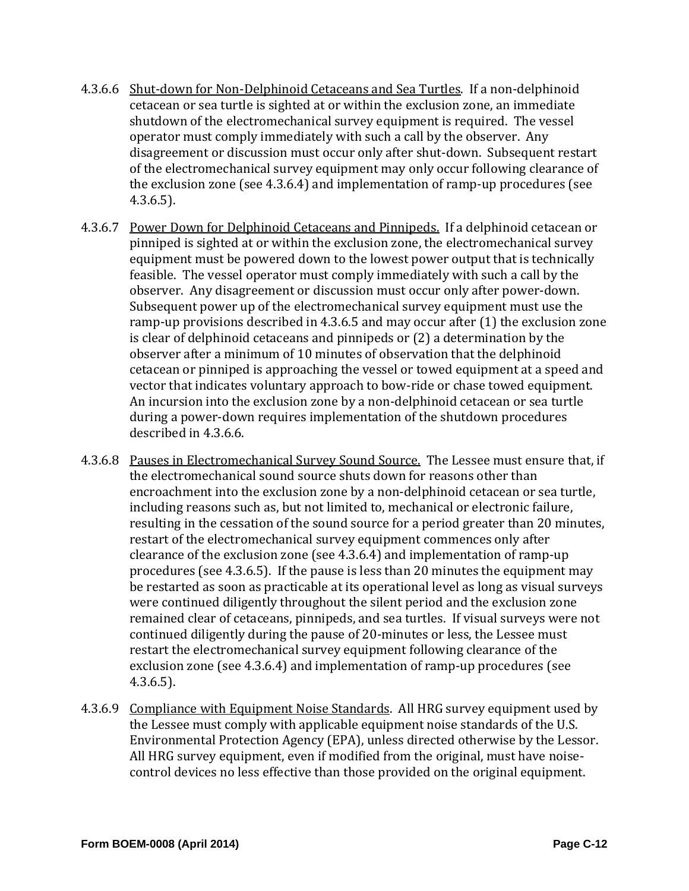- 4.3.6.6 Shut-down for Non-Delphinoid Cetaceans and Sea Turtles. If a non-delphinoid cetacean or sea turtle is sighted at or within the exclusion zone, an immediate shutdown of the electromechanical survey equipment is required. The vessel operator must comply immediately with such a call by the observer. Any disagreement or discussion must occur only after shut-down. Subsequent restart of the electromechanical survey equipment may only occur following clearance of the exclusion zone  $(see 4.3.6.4)$  and implementation of ramp-up procedures  $(see$ 4.3.6.5).
- 4.3.6.7 Power Down for Delphinoid Cetaceans and Pinnipeds. If a delphinoid cetacean or pinniped is sighted at or within the exclusion zone, the electromechanical survey equipment must be powered down to the lowest power output that is technically feasible. The vessel operator must comply immediately with such a call by the observer. Any disagreement or discussion must occur only after power-down. Subsequent power up of the electromechanical survey equipment must use the ramp-up provisions described in 4.3.6.5 and may occur after  $(1)$  the exclusion zone is clear of delphinoid cetaceans and pinnipeds or  $(2)$  a determination by the observer after a minimum of 10 minutes of observation that the delphinoid cetacean or pinniped is approaching the vessel or towed equipment at a speed and vector that indicates voluntary approach to bow-ride or chase towed equipment. An incursion into the exclusion zone by a non-delphinoid cetacean or sea turtle during a power-down requires implementation of the shutdown procedures described in 4.3.6.6.
- 4.3.6.8 Pauses in Electromechanical Survey Sound Source. The Lessee must ensure that, if the electromechanical sound source shuts down for reasons other than encroachment into the exclusion zone by a non-delphinoid cetacean or sea turtle, including reasons such as, but not limited to, mechanical or electronic failure, resulting in the cessation of the sound source for a period greater than 20 minutes, restart of the electromechanical survey equipment commences only after clearance of the exclusion zone (see  $4.3.6.4$ ) and implementation of ramp-up procedures (see 4.3.6.5). If the pause is less than 20 minutes the equipment may be restarted as soon as practicable at its operational level as long as visual surveys were continued diligently throughout the silent period and the exclusion zone remained clear of cetaceans, pinnipeds, and sea turtles. If visual surveys were not continued diligently during the pause of 20-minutes or less, the Lessee must restart the electromechanical survey equipment following clearance of the exclusion zone (see 4.3.6.4) and implementation of ramp-up procedures (see 4.3.6.5).
- 4.3.6.9 Compliance with Equipment Noise Standards. All HRG survey equipment used by the Lessee must comply with applicable equipment noise standards of the U.S. Environmental Protection Agency (EPA), unless directed otherwise by the Lessor. All HRG survey equipment, even if modified from the original, must have noisecontrol devices no less effective than those provided on the original equipment.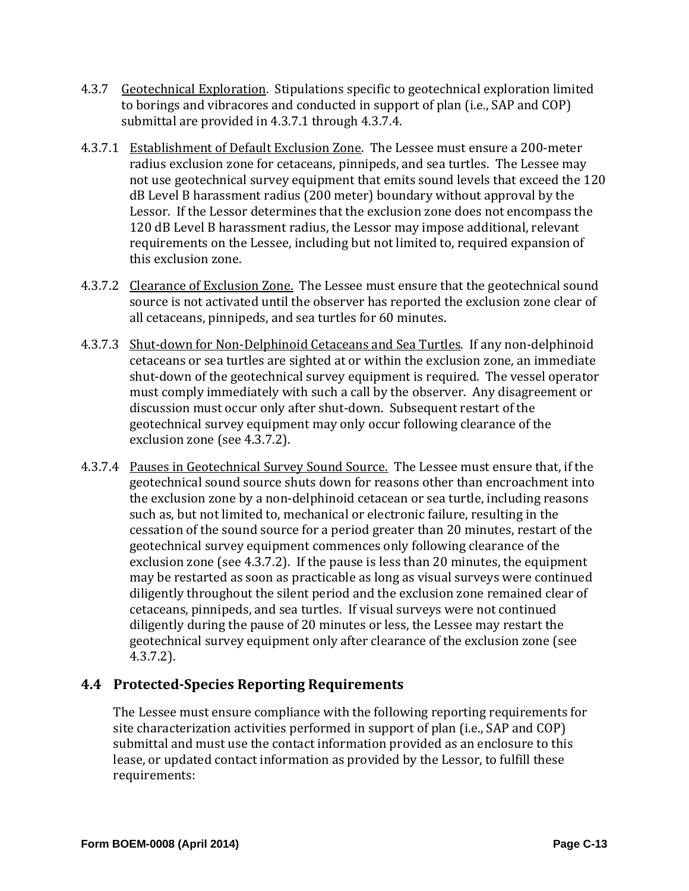- 4.3.7 Geotechnical Exploration. Stipulations specific to geotechnical exploration limited to borings and vibracores and conducted in support of plan (i.e., SAP and COP) submittal are provided in 4.3.7.1 through 4.3.7.4.
- 4.3.7.1 Establishment of Default Exclusion Zone. The Lessee must ensure a 200-meter radius exclusion zone for cetaceans, pinnipeds, and sea turtles. The Lessee may not use geotechnical survey equipment that emits sound levels that exceed the 120  $dB$  Level B harassment radius  $(200$  meter) boundary without approval by the Lessor. If the Lessor determines that the exclusion zone does not encompass the 120 dB Level B harassment radius, the Lessor may impose additional, relevant requirements on the Lessee, including but not limited to, required expansion of this exclusion zone.
- 4.3.7.2 Clearance of Exclusion Zone. The Lessee must ensure that the geotechnical sound source is not activated until the observer has reported the exclusion zone clear of all cetaceans, pinnipeds, and sea turtles for 60 minutes.
- 4.3.7.3 Shut-down for Non-Delphinoid Cetaceans and Sea Turtles. If any non-delphinoid cetaceans or sea turtles are sighted at or within the exclusion zone, an immediate shut-down of the geotechnical survey equipment is required. The vessel operator must comply immediately with such a call by the observer. Any disagreement or discussion must occur only after shut-down. Subsequent restart of the geotechnical survey equipment may only occur following clearance of the exclusion zone (see 4.3.7.2).
- 4.3.7.4 Pauses in Geotechnical Survey Sound Source. The Lessee must ensure that, if the geotechnical sound source shuts down for reasons other than encroachment into the exclusion zone by a non-delphinoid cetacean or sea turtle, including reasons such as, but not limited to, mechanical or electronic failure, resulting in the cessation of the sound source for a period greater than 20 minutes, restart of the geotechnical survey equipment commences only following clearance of the exclusion zone (see  $4.3.7.2$ ). If the pause is less than  $20$  minutes, the equipment may be restarted as soon as practicable as long as visual surveys were continued diligently throughout the silent period and the exclusion zone remained clear of cetaceans, pinnipeds, and sea turtles. If visual surveys were not continued diligently during the pause of 20 minutes or less, the Lessee may restart the geotechnical survey equipment only after clearance of the exclusion zone (see 4.3.7.2).

# **4.4 Protected‐Species Reporting Requirements**

The Lessee must ensure compliance with the following reporting requirements for site characterization activities performed in support of plan (i.e., SAP and COP) submittal and must use the contact information provided as an enclosure to this lease, or updated contact information as provided by the Lessor, to fulfill these requirements: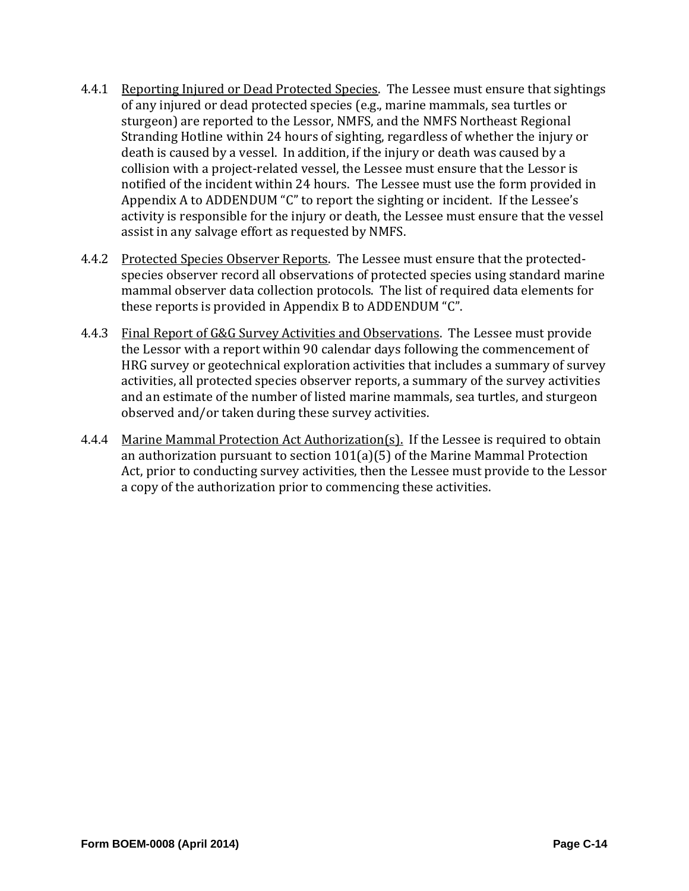- 4.4.1 Reporting Injured or Dead Protected Species. The Lessee must ensure that sightings of any injured or dead protected species (e.g., marine mammals, sea turtles or sturgeon) are reported to the Lessor, NMFS, and the NMFS Northeast Regional Stranding Hotline within 24 hours of sighting, regardless of whether the injury or death is caused by a vessel. In addition, if the injury or death was caused by a collision with a project-related vessel, the Lessee must ensure that the Lessor is notified of the incident within 24 hours. The Lessee must use the form provided in Appendix A to ADDENDUM "C" to report the sighting or incident. If the Lessee's activity is responsible for the injury or death, the Lessee must ensure that the vessel assist in any salvage effort as requested by NMFS.
- 4.4.2 Protected Species Observer Reports. The Lessee must ensure that the protectedspecies observer record all observations of protected species using standard marine mammal observer data collection protocols. The list of required data elements for these reports is provided in Appendix B to ADDENDUM "C".
- 4.4.3 Final Report of G&G Survey Activities and Observations. The Lessee must provide the Lessor with a report within 90 calendar days following the commencement of HRG survey or geotechnical exploration activities that includes a summary of survey activities, all protected species observer reports, a summary of the survey activities and an estimate of the number of listed marine mammals, sea turtles, and sturgeon observed and/or taken during these survey activities.
- 4.4.4 Marine Mammal Protection Act Authorization(s). If the Lessee is required to obtain an authorization pursuant to section  $101(a)(5)$  of the Marine Mammal Protection Act, prior to conducting survey activities, then the Lessee must provide to the Lessor a copy of the authorization prior to commencing these activities.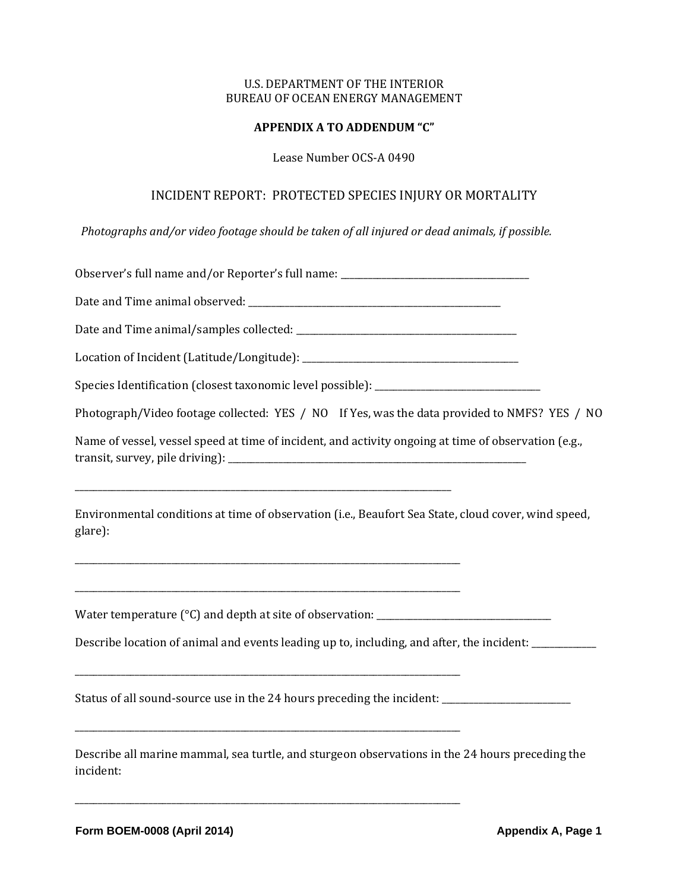#### **APPENDIX A TO ADDENDUM "C"**

Lease Number OCS-A 0490

# INCIDENT REPORT: PROTECTED SPECIES INJURY OR MORTALITY

*Photographs and/or video footage should be taken of all injured or dead animals, if possible.*

| Observer's full name and/or Reporter's full name: ______________________________                               |
|----------------------------------------------------------------------------------------------------------------|
|                                                                                                                |
|                                                                                                                |
|                                                                                                                |
| Species Identification (closest taxonomic level possible): ______________________                              |
| Photograph/Video footage collected: YES / NO If Yes, was the data provided to NMFS? YES / NO                   |
| Name of vessel, vessel speed at time of incident, and activity ongoing at time of observation (e.g.,           |
| Environmental conditions at time of observation (i.e., Beaufort Sea State, cloud cover, wind speed,<br>glare): |
| Water temperature (°C) and depth at site of observation: ________________________                              |
| Describe location of animal and events leading up to, including, and after, the incident: _________            |
| Status of all sound-source use in the 24 hours preceding the incident: _______________________                 |
| Describe all marine mammal, sea turtle, and sturgeon observations in the 24 hours preceding the<br>incident:   |

\_\_\_\_\_\_\_\_\_\_\_\_\_\_\_\_\_\_\_\_\_\_\_\_\_\_\_\_\_\_\_\_\_\_\_\_\_\_\_\_\_\_\_\_\_\_\_\_\_\_\_\_\_\_\_\_\_\_\_\_\_\_\_\_\_\_\_\_\_\_\_\_\_\_\_\_\_\_\_\_\_\_\_\_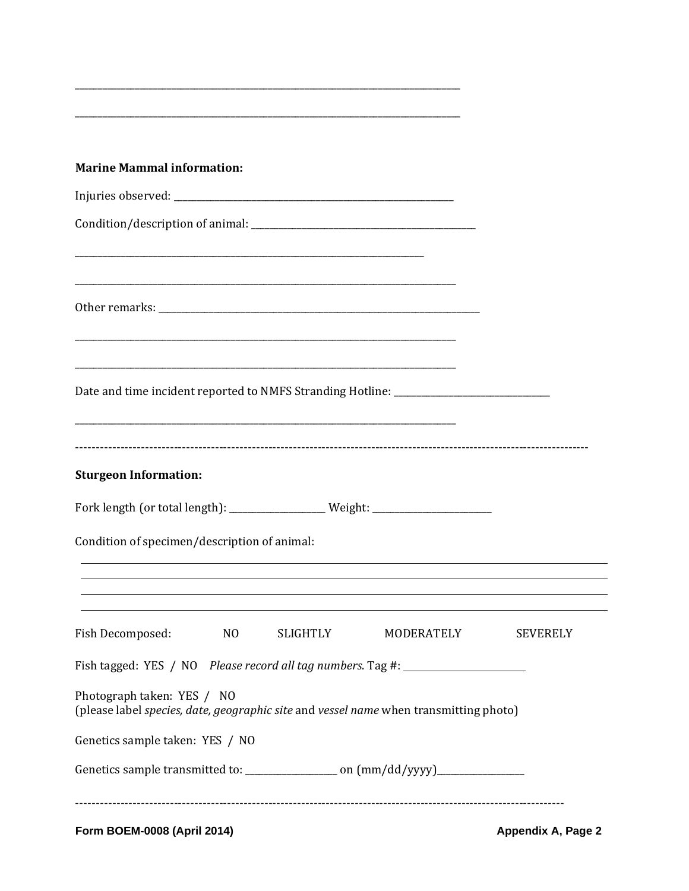| <b>Marine Mammal information:</b>                                                                                                                      |                                                                                                                  |                                                                                                                                                                                                           |  |
|--------------------------------------------------------------------------------------------------------------------------------------------------------|------------------------------------------------------------------------------------------------------------------|-----------------------------------------------------------------------------------------------------------------------------------------------------------------------------------------------------------|--|
|                                                                                                                                                        |                                                                                                                  |                                                                                                                                                                                                           |  |
|                                                                                                                                                        |                                                                                                                  |                                                                                                                                                                                                           |  |
|                                                                                                                                                        | and the control of the control of the control of the control of the control of the control of the control of the |                                                                                                                                                                                                           |  |
|                                                                                                                                                        |                                                                                                                  |                                                                                                                                                                                                           |  |
|                                                                                                                                                        |                                                                                                                  |                                                                                                                                                                                                           |  |
|                                                                                                                                                        |                                                                                                                  | Date and time incident reported to NMFS Stranding Hotline: ____________________________                                                                                                                   |  |
| <b>Sturgeon Information:</b>                                                                                                                           |                                                                                                                  | Fork length (or total length): ________________Weight: _________________________                                                                                                                          |  |
| Condition of specimen/description of animal:                                                                                                           |                                                                                                                  | <u> 1989 - Johann Stoff, deutscher Stoffen und der Stoffen und der Stoffen und der Stoffen und der Stoffen und de</u>                                                                                     |  |
|                                                                                                                                                        |                                                                                                                  | <u> 1989 - Andrea Santa Alemania, amerikana amerikana amerikana amerikana amerikana amerikana amerikana amerikan</u><br>,我们也不会有一个人的人,我们也不会有一个人的人,我们也不会有一个人的人,我们也不会有一个人的人,我们也不会有一个人的人。""我们的人,我们也不会有一个人的人,我 |  |
|                                                                                                                                                        |                                                                                                                  | Fish Decomposed: NO SLIGHTLY MODERATELY SEVERELY                                                                                                                                                          |  |
|                                                                                                                                                        |                                                                                                                  | Fish tagged: YES / NO Please record all tag numbers. Tag #: ____________________                                                                                                                          |  |
|                                                                                                                                                        |                                                                                                                  |                                                                                                                                                                                                           |  |
|                                                                                                                                                        |                                                                                                                  |                                                                                                                                                                                                           |  |
| Photograph taken: YES / NO<br>(please label species, date, geographic site and vessel name when transmitting photo)<br>Genetics sample taken: YES / NO |                                                                                                                  |                                                                                                                                                                                                           |  |

# Form BOEM-0008 (April 2014)

Appendix A, Page 2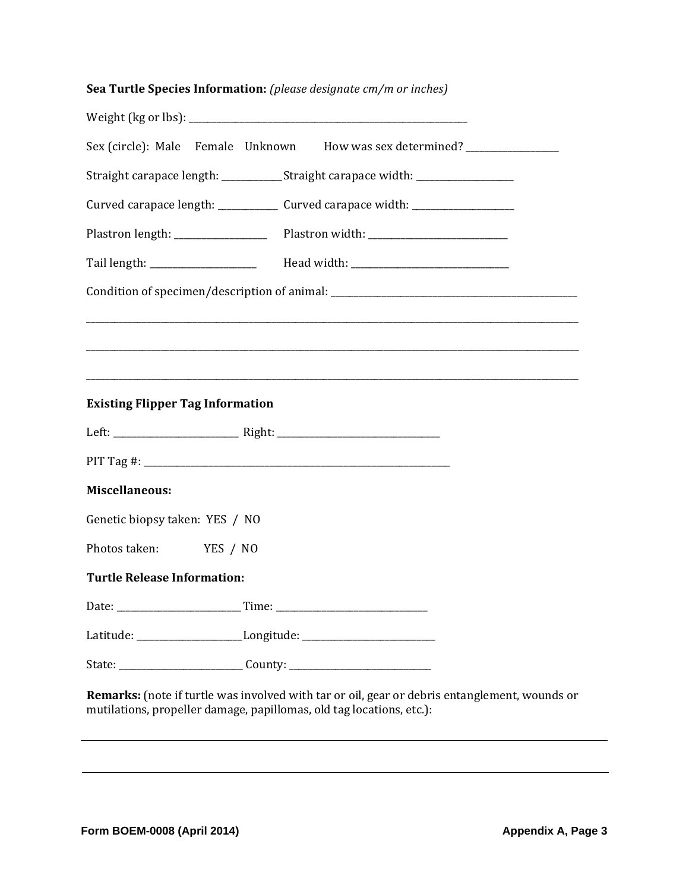|  | Sea Turtle Species Information: (please designate cm/m or inches) |
|--|-------------------------------------------------------------------|
|--|-------------------------------------------------------------------|

|                                                                                  | Sex (circle): Male Female Unknown How was sex determined? ________________                    |  |
|----------------------------------------------------------------------------------|-----------------------------------------------------------------------------------------------|--|
|                                                                                  | Straight carapace length: ____________Straight carapace width: _________________              |  |
|                                                                                  | Curved carapace length: ______________ Curved carapace width: __________________              |  |
|                                                                                  |                                                                                               |  |
|                                                                                  |                                                                                               |  |
|                                                                                  |                                                                                               |  |
|                                                                                  |                                                                                               |  |
|                                                                                  |                                                                                               |  |
|                                                                                  |                                                                                               |  |
| <b>Existing Flipper Tag Information</b>                                          |                                                                                               |  |
|                                                                                  |                                                                                               |  |
|                                                                                  |                                                                                               |  |
| <b>Miscellaneous:</b>                                                            |                                                                                               |  |
| Genetic biopsy taken: YES / NO                                                   |                                                                                               |  |
| Photos taken: YES / NO                                                           |                                                                                               |  |
| <b>Turtle Release Information:</b>                                               |                                                                                               |  |
| Date:                                                                            |                                                                                               |  |
| Latitude: _________________________Longitude: __________________________________ |                                                                                               |  |
|                                                                                  |                                                                                               |  |
| mutilations, propeller damage, papillomas, old tag locations, etc.):             | Remarks: (note if turtle was involved with tar or oil, gear or debris entanglement, wounds or |  |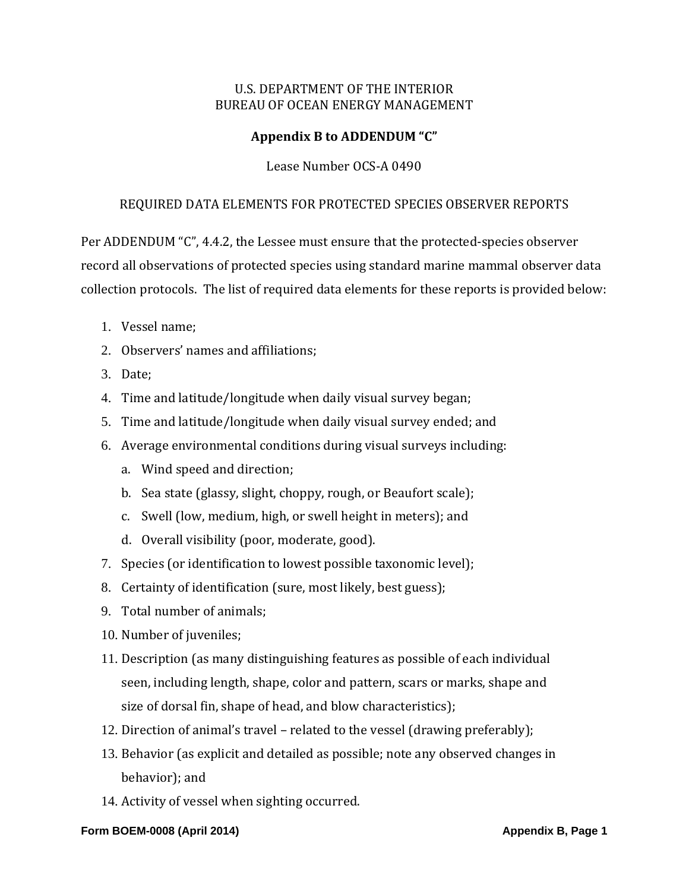# **Appendix B to ADDENDUM "C"**

### Lease Number OCS-A 0490

#### REQUIRED DATA ELEMENTS FOR PROTECTED SPECIES OBSERVER REPORTS

Per ADDENDUM "C", 4.4.2, the Lessee must ensure that the protected-species observer record all observations of protected species using standard marine mammal observer data collection protocols. The list of required data elements for these reports is provided below:

- 1. Vessel name;
- 2. Observers' names and affiliations:
- 3. Date;
- 4. Time and latitude/longitude when daily visual survey began;
- 5. Time and latitude/longitude when daily visual survey ended; and
- 6. Average environmental conditions during visual surveys including:
	- a. Wind speed and direction;
	- b. Sea state (glassy, slight, choppy, rough, or Beaufort scale);
	- c. Swell (low, medium, high, or swell height in meters); and
	- d. Overall visibility (poor, moderate, good).
- 7. Species (or identification to lowest possible taxonomic level);
- 8. Certainty of identification (sure, most likely, best guess);
- 9. Total number of animals:
- 10. Number of juveniles;
- 11. Description (as many distinguishing features as possible of each individual seen, including length, shape, color and pattern, scars or marks, shape and size of dorsal fin, shape of head, and blow characteristics);
- 12. Direction of animal's travel related to the vessel (drawing preferably);
- 13. Behavior (as explicit and detailed as possible; note any observed changes in behavior); and
- 14. Activity of vessel when sighting occurred.

#### **Form BOEM-0008 (April 2014)** Appendix B, Page 1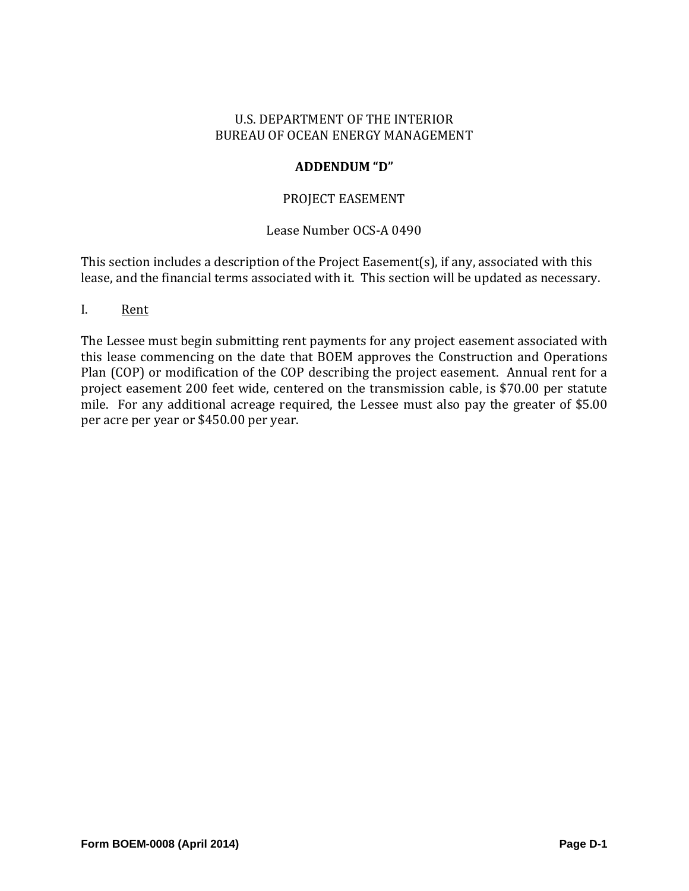### **ADDENDUM "D"**

### PROJECT EASEMENT

## Lease Number OCS-A 0490

This section includes a description of the Project Easement(s), if any, associated with this lease, and the financial terms associated with it. This section will be updated as necessary.

I. Rent 

The Lessee must begin submitting rent payments for any project easement associated with this lease commencing on the date that BOEM approves the Construction and Operations Plan (COP) or modification of the COP describing the project easement. Annual rent for a project easement 200 feet wide, centered on the transmission cable, is \$70.00 per statute mile. For any additional acreage required, the Lessee must also pay the greater of \$5.00 per acre per year or \$450.00 per year.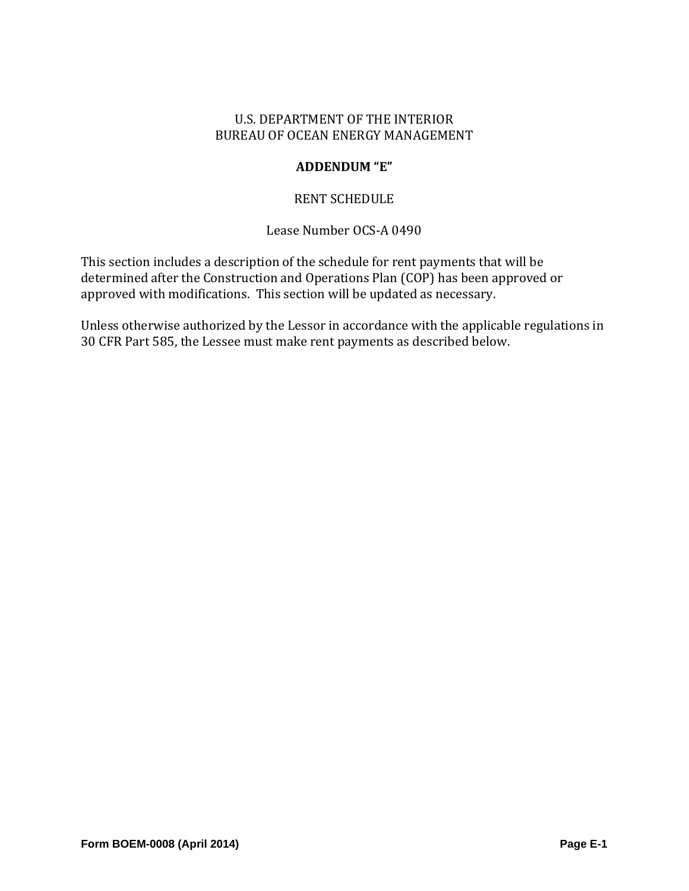# **ADDENDUM "E"**

# RENT SCHEDULE

# Lease Number OCS-A 0490

This section includes a description of the schedule for rent payments that will be determined after the Construction and Operations Plan (COP) has been approved or approved with modifications. This section will be updated as necessary.

Unless otherwise authorized by the Lessor in accordance with the applicable regulations in 30 CFR Part 585, the Lessee must make rent payments as described below.